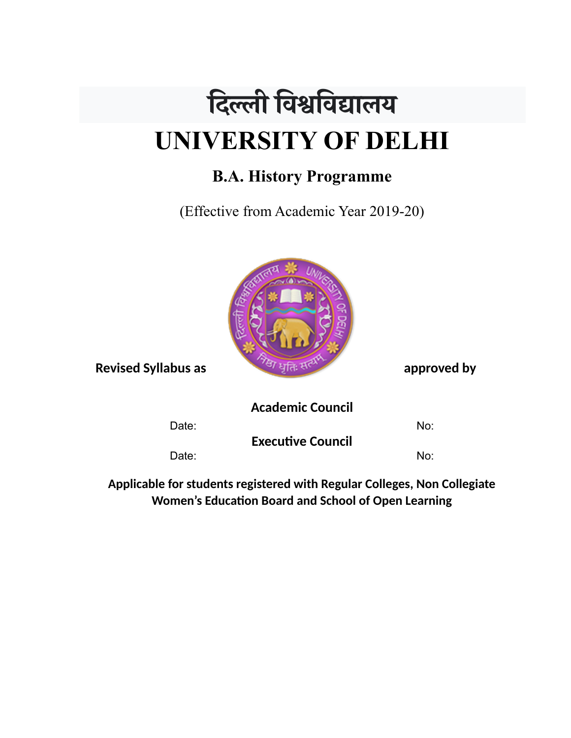# **दिल्ली विश्वविद्यालय UNIVERSITY OF DELHI**

# **B.A. History Programme**

(Effective from Academic Year 2019-20)



**Academic Council**

Date: No:

**Executive Council**

Date: No:

**Applicable for students registered with Regular Colleges, Non Collegiate Women's Education Board and School of Open Learning**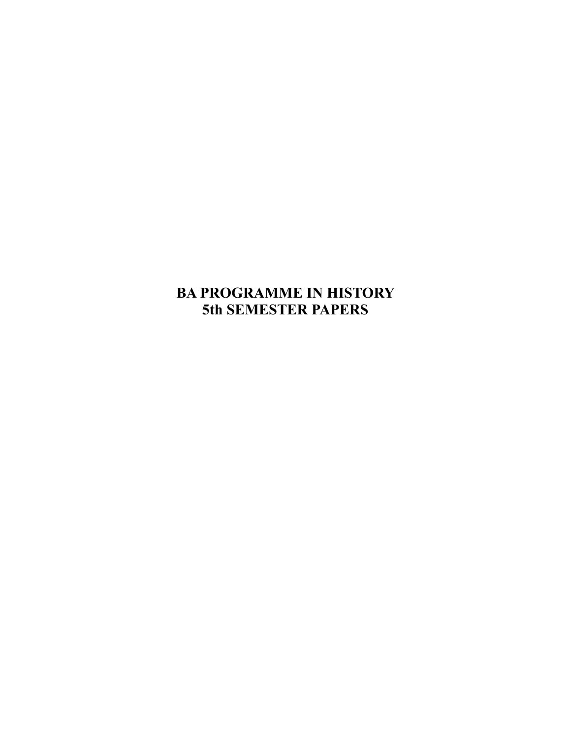# **BA PROGRAMME IN HISTORY 5th SEMESTER PAPERS**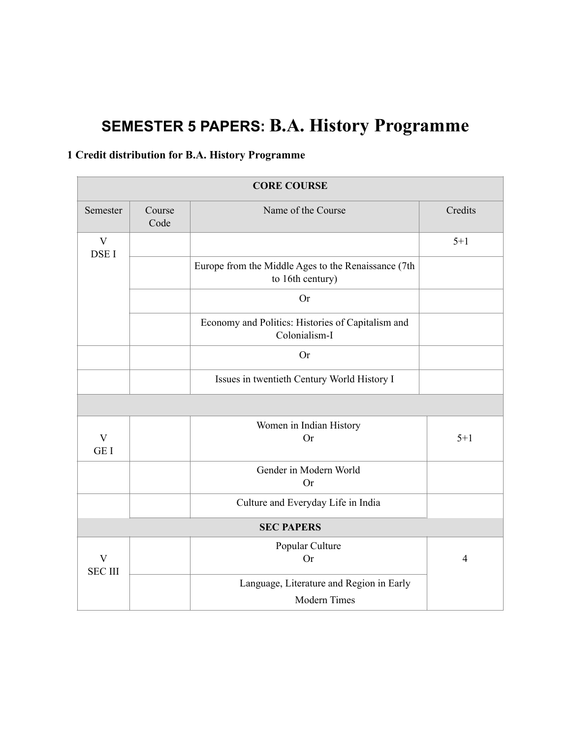# **SEMESTER 5 PAPERS: B.A. History Programme**

# **1 Credit distribution for B.A. History Programme**

| <b>CORE COURSE</b>        |                |                                                                         |         |
|---------------------------|----------------|-------------------------------------------------------------------------|---------|
| Semester                  | Course<br>Code | Name of the Course                                                      | Credits |
| $\mathbf V$<br>DSE I      |                |                                                                         | $5 + 1$ |
|                           |                | Europe from the Middle Ages to the Renaissance (7th<br>to 16th century) |         |
|                           |                | <b>Or</b>                                                               |         |
|                           |                | Economy and Politics: Histories of Capitalism and<br>Colonialism-I      |         |
|                           |                | <b>Or</b>                                                               |         |
|                           |                | Issues in twentieth Century World History I                             |         |
|                           |                |                                                                         |         |
| $\mathbf V$<br><b>GEI</b> |                | Women in Indian History<br><b>Or</b>                                    | $5 + 1$ |
|                           |                | Gender in Modern World<br><b>Or</b>                                     |         |
|                           |                | Culture and Everyday Life in India                                      |         |
|                           |                | <b>SEC PAPERS</b>                                                       |         |
| V<br><b>SEC III</b>       |                | Popular Culture<br><b>Or</b>                                            | 4       |
|                           |                | Language, Literature and Region in Early<br><b>Modern Times</b>         |         |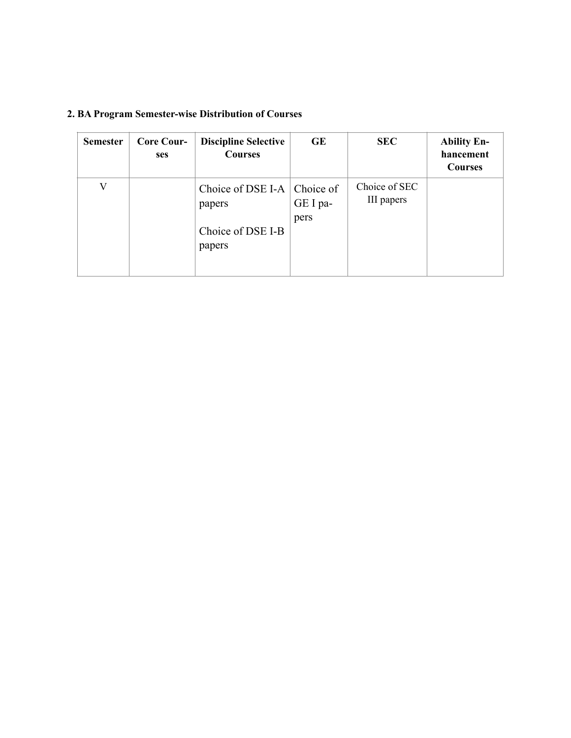# **2. BA Program Semester-wise Distribution of Courses**

| <b>Semester</b> | <b>Core Cour-</b><br>ses | <b>Discipline Selective</b><br><b>Courses</b>                      | GE               | <b>SEC</b>                  | <b>Ability En-</b><br>hancement<br><b>Courses</b> |
|-----------------|--------------------------|--------------------------------------------------------------------|------------------|-----------------------------|---------------------------------------------------|
| V               |                          | Choice of DSE I-A $\vert$ Choice of<br>papers<br>Choice of DSE I-B | GE I pa-<br>pers | Choice of SEC<br>III papers |                                                   |
|                 |                          | papers                                                             |                  |                             |                                                   |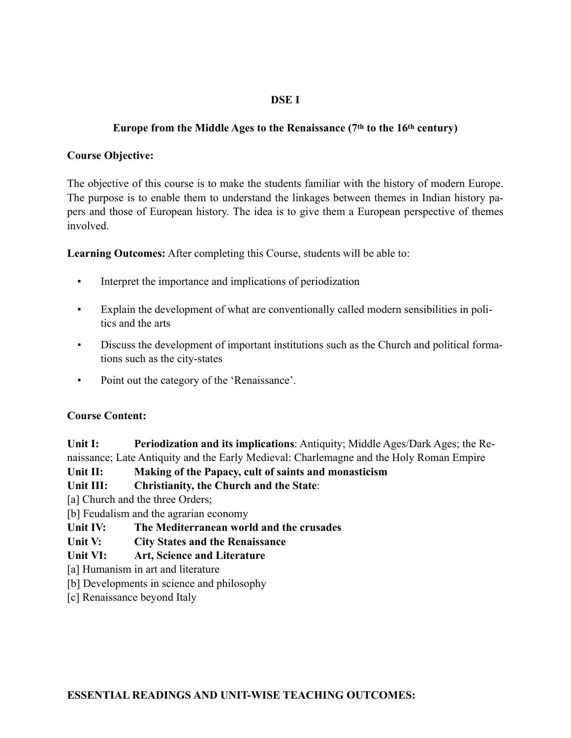# **DSE I**

# **Europe from the Middle Ages to the Renaissance (7th to the 16th century)**

#### **Course Objective:**

The objective of this course is to make the students familiar with the history of modern Europe. The purpose is to enable them to understand the linkages between themes in Indian history papers and those of European history. The idea is to give them a European perspective of themes involved.

**Learning Outcomes:** After completing this Course, students will be able to:

- Interpret the importance and implications of periodization
- Explain the development of what are conventionally called modern sensibilities in politics and the arts
- Discuss the development of important institutions such as the Church and political formations such as the city-states
- Point out the category of the 'Renaissance'.

# **Course Content:**

**Unit I: Periodization and its implications**: Antiquity; Middle Ages/Dark Ages; the Renaissance; Late Antiquity and the Early Medieval: Charlemagne and the Holy Roman Empire

**Unit II: Making of the Papacy, cult of saints and monasticism** 

**Unit III: Christianity, the Church and the State**:

[a] Church and the three Orders;

[b] Feudalism and the agrarian economy

**Unit IV: The Mediterranean world and the crusades**

**Unit V: City States and the Renaissance** 

# **Unit VI: Art, Science and Literature**

- [a] Humanism in art and literature
- [b] Developments in science and philosophy

[c] Renaissance beyond Italy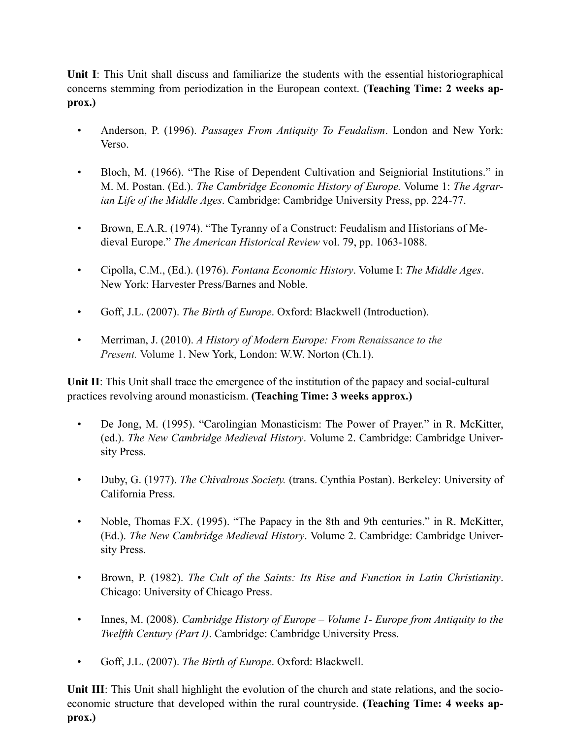**Unit I**: This Unit shall discuss and familiarize the students with the essential historiographical concerns stemming from periodization in the European context. **(Teaching Time: 2 weeks approx.)**

- Anderson, P. (1996). *Passages From Antiquity To Feudalism*. London and New York: Verso.
- Bloch, M. (1966). "The Rise of Dependent Cultivation and Seigniorial Institutions." in M. M. Postan. (Ed.). *The Cambridge Economic History of Europe.* Volume 1: *The Agrarian Life of the Middle Ages*. Cambridge: Cambridge University Press, pp. 224-77.
- Brown, E.A.R. (1974). "The Tyranny of a Construct: Feudalism and Historians of Medieval Europe." *The American Historical Review* vol. 79, pp. 1063-1088.
- Cipolla, C.M., (Ed.). (1976). *Fontana Economic History*. Volume I: *The Middle Ages*. New York: Harvester Press/Barnes and Noble.
- Goff, J.L. (2007). *The Birth of Europe*. Oxford: Blackwell (Introduction).
- Merriman, J. (2010). *A History of Modern Europe: From Renaissance to the Present.* Volume 1. New York, London: W.W. Norton (Ch.1).

**Unit II**: This Unit shall trace the emergence of the institution of the papacy and social-cultural practices revolving around monasticism. **(Teaching Time: 3 weeks approx.)**

- De Jong, M. (1995). "Carolingian Monasticism: The Power of Prayer." in R. McKitter, (ed.). *The New Cambridge Medieval History*. Volume 2. Cambridge: Cambridge University Press.
- Duby, G. (1977). *The Chivalrous Society.* (trans. Cynthia Postan). Berkeley: University of California Press.
- Noble, Thomas F.X. (1995). "The Papacy in the 8th and 9th centuries." in R. McKitter, (Ed.). *The New Cambridge Medieval History*. Volume 2. Cambridge: Cambridge University Press.
- Brown, P. (1982). *The Cult of the Saints: Its Rise and Function in Latin Christianity*. Chicago: University of Chicago Press.
- Innes, M. (2008). *Cambridge History of Europe Volume 1- Europe from Antiquity to the Twelfth Century (Part I)*. Cambridge: Cambridge University Press.
- Goff, J.L. (2007). *The Birth of Europe*. Oxford: Blackwell.

**Unit III**: This Unit shall highlight the evolution of the church and state relations, and the socioeconomic structure that developed within the rural countryside. **(Teaching Time: 4 weeks approx.)**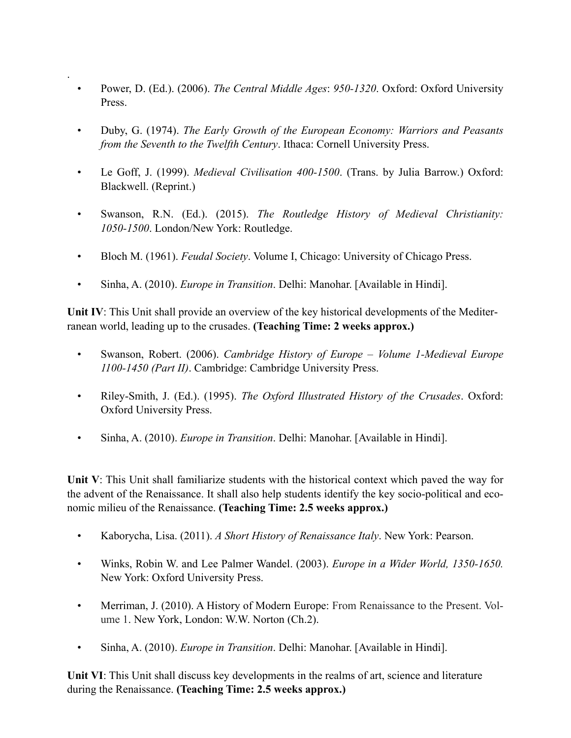• Power, D. (Ed.). (2006). *The Central Middle Ages*: *950-1320*. Oxford: Oxford University Press.

.

- Duby, G. (1974). *The Early Growth of the European Economy: Warriors and Peasants from the Seventh to the Twelfth Century*. Ithaca: Cornell University Press.
- Le Goff, J. (1999). *Medieval Civilisation 400-1500*. (Trans. by Julia Barrow.) Oxford: Blackwell. (Reprint.)
- Swanson, R.N. (Ed.). (2015). *The Routledge History of Medieval Christianity: 1050-1500*. London/New York: Routledge.
- Bloch M. (1961). *Feudal Society*. Volume I, Chicago: University of Chicago Press.
- Sinha, A. (2010). *Europe in Transition*. Delhi: Manohar. [Available in Hindi].

**Unit IV**: This Unit shall provide an overview of the key historical developments of the Mediterranean world, leading up to the crusades. **(Teaching Time: 2 weeks approx.)**

- Swanson, Robert. (2006). *Cambridge History of Europe Volume 1-Medieval Europe 1100-1450 (Part II)*. Cambridge: Cambridge University Press.
- Riley-Smith, J. (Ed.). (1995). *The Oxford Illustrated History of the Crusades*. Oxford: Oxford University Press.
- Sinha, A. (2010). *Europe in Transition*. Delhi: Manohar. [Available in Hindi].

**Unit V**: This Unit shall familiarize students with the historical context which paved the way for the advent of the Renaissance. It shall also help students identify the key socio-political and economic milieu of the Renaissance. **(Teaching Time: 2.5 weeks approx.)**

- Kaborycha, Lisa. (2011). *A Short History of Renaissance Italy*. New York: Pearson.
- Winks, Robin W. and Lee Palmer Wandel. (2003). *Europe in a Wider World, 1350-1650.*  New York: Oxford University Press.
- Merriman, J. (2010). A History of Modern Europe: From Renaissance to the Present. Volume 1. New York, London: W.W. Norton (Ch.2).
- Sinha, A. (2010). *Europe in Transition*. Delhi: Manohar. [Available in Hindi].

**Unit VI**: This Unit shall discuss key developments in the realms of art, science and literature during the Renaissance. **(Teaching Time: 2.5 weeks approx.)**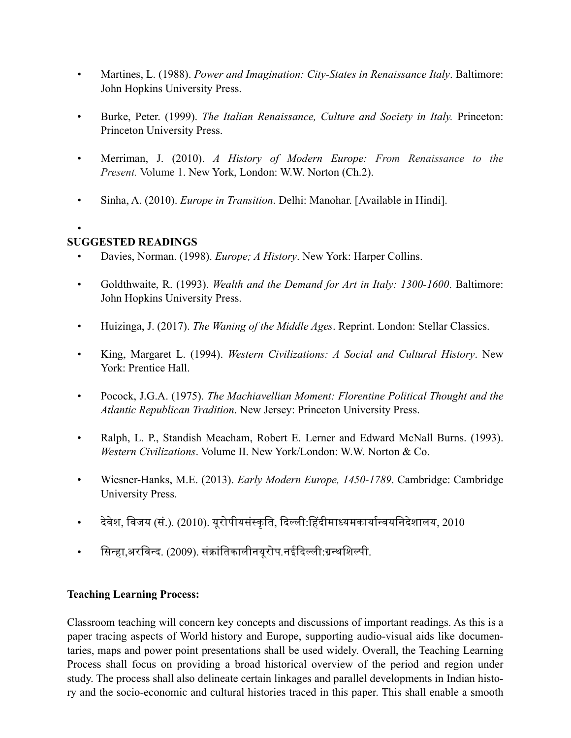- Martines, L. (1988). *Power and Imagination: City-States in Renaissance Italy*. Baltimore: John Hopkins University Press.
- Burke, Peter. (1999). *The Italian Renaissance, Culture and Society in Italy.* Princeton: Princeton University Press.
- Merriman, J. (2010). *A History of Modern Europe: From Renaissance to the Present.* Volume 1. New York, London: W.W. Norton (Ch.2).
- Sinha, A. (2010). *Europe in Transition*. Delhi: Manohar. [Available in Hindi].
- •

# **SUGGESTED READINGS**

- Davies, Norman. (1998). *Europe; A History*. New York: Harper Collins.
- Goldthwaite, R. (1993). *Wealth and the Demand for Art in Italy: 1300-1600*. Baltimore: John Hopkins University Press.
- Huizinga, J. (2017). *The Waning of the Middle Ages*. Reprint. London: Stellar Classics.
- King, Margaret L. (1994). *Western Civilizations: A Social and Cultural History*. New York: Prentice Hall.
- Pocock, J.G.A. (1975). *The Machiavellian Moment: Florentine Political Thought and the Atlantic Republican Tradition*. New Jersey: Princeton University Press.
- Ralph, L. P., Standish Meacham, Robert E. Lerner and Edward McNall Burns. (1993). *Western Civilizations*. Volume II. New York/London: W.W. Norton & Co.
- Wiesner-Hanks, M.E. (2013). *Early Modern Europe, 1450-1789*. Cambridge: Cambridge University Press.
- $\bullet$  देवेश, विजय (सं.). (2010). यूरोपीयसंस्कृति, दिल्ली:हिंदीमाध्यमकार्यान्वयनिदेशालय, 2010
- सिन्हा,अरविन्द. (2009). संक्रांतिकालीनयुरोप.नईदिल्ली:ग्रन्थशिल्पी.

# **Teaching Learning Process:**

Classroom teaching will concern key concepts and discussions of important readings. As this is a paper tracing aspects of World history and Europe, supporting audio-visual aids like documentaries, maps and power point presentations shall be used widely. Overall, the Teaching Learning Process shall focus on providing a broad historical overview of the period and region under study. The process shall also delineate certain linkages and parallel developments in Indian history and the socio-economic and cultural histories traced in this paper. This shall enable a smooth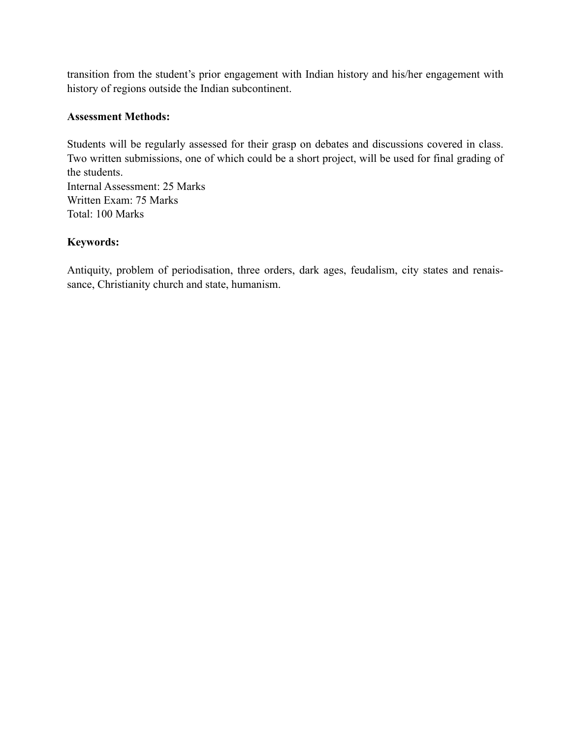transition from the student's prior engagement with Indian history and his/her engagement with history of regions outside the Indian subcontinent.

#### **Assessment Methods:**

Students will be regularly assessed for their grasp on debates and discussions covered in class. Two written submissions, one of which could be a short project, will be used for final grading of the students.

Internal Assessment: 25 Marks Written Exam: 75 Marks Total: 100 Marks

# **Keywords:**

Antiquity, problem of periodisation, three orders, dark ages, feudalism, city states and renaissance, Christianity church and state, humanism.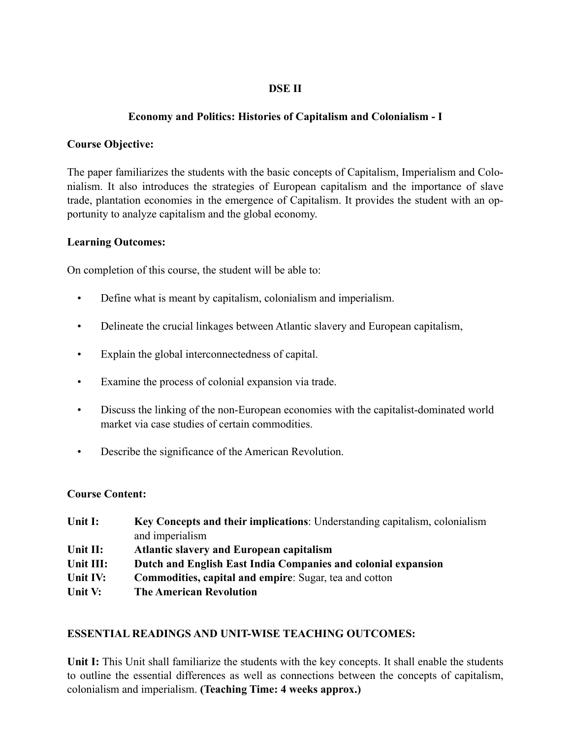# **DSE II**

# **Economy and Politics: Histories of Capitalism and Colonialism - I**

# **Course Objective:**

The paper familiarizes the students with the basic concepts of Capitalism, Imperialism and Colonialism. It also introduces the strategies of European capitalism and the importance of slave trade, plantation economies in the emergence of Capitalism. It provides the student with an opportunity to analyze capitalism and the global economy.

# **Learning Outcomes:**

On completion of this course, the student will be able to:

- Define what is meant by capitalism, colonialism and imperialism.
- Delineate the crucial linkages between Atlantic slavery and European capitalism,
- Explain the global interconnectedness of capital.
- Examine the process of colonial expansion via trade.
- Discuss the linking of the non-European economies with the capitalist-dominated world market via case studies of certain commodities.
- Describe the significance of the American Revolution.

# **Course Content:**

| Unit I:   | <b>Key Concepts and their implications:</b> Understanding capitalism, colonialism |
|-----------|-----------------------------------------------------------------------------------|
|           | and imperialism                                                                   |
| Unit II:  | <b>Atlantic slavery and European capitalism</b>                                   |
| Unit III: | Dutch and English East India Companies and colonial expansion                     |
| Unit IV:  | Commodities, capital and empire: Sugar, tea and cotton                            |
| Unit V:   | <b>The American Revolution</b>                                                    |

# **ESSENTIAL READINGS AND UNIT-WISE TEACHING OUTCOMES:**

**Unit I:** This Unit shall familiarize the students with the key concepts. It shall enable the students to outline the essential differences as well as connections between the concepts of capitalism, colonialism and imperialism. **(Teaching Time: 4 weeks approx.)**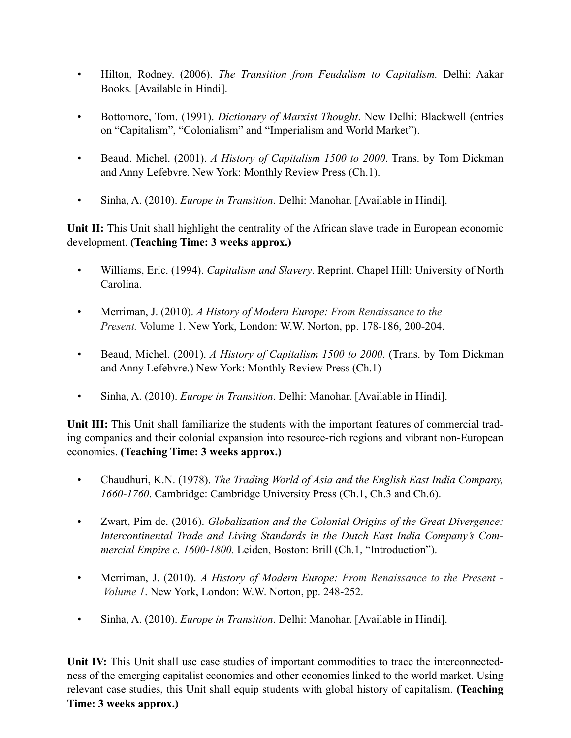- Hilton, Rodney. (2006). *The Transition from Feudalism to Capitalism.* Delhi: Aakar Books*.* [Available in Hindi].
- Bottomore, Tom. (1991). *Dictionary of Marxist Thought*. New Delhi: Blackwell (entries on "Capitalism", "Colonialism" and "Imperialism and World Market").
- Beaud. Michel. (2001). *A History of Capitalism 1500 to 2000*. Trans. by Tom Dickman and Anny Lefebvre. New York: Monthly Review Press (Ch.1).
- Sinha, A. (2010). *Europe in Transition*. Delhi: Manohar. [Available in Hindi].

**Unit II:** This Unit shall highlight the centrality of the African slave trade in European economic development. **(Teaching Time: 3 weeks approx.)**

- Williams, Eric. (1994). *Capitalism and Slavery*. Reprint. Chapel Hill: University of North Carolina.
- Merriman, J. (2010). *A History of Modern Europe: From Renaissance to the Present.* Volume 1. New York, London: W.W. Norton, pp. 178-186, 200-204.
- Beaud, Michel. (2001). *A History of Capitalism 1500 to 2000*. (Trans. by Tom Dickman and Anny Lefebvre.) New York: Monthly Review Press (Ch.1)
- Sinha, A. (2010). *Europe in Transition*. Delhi: Manohar. [Available in Hindi].

**Unit III:** This Unit shall familiarize the students with the important features of commercial trading companies and their colonial expansion into resource-rich regions and vibrant non-European economies. **(Teaching Time: 3 weeks approx.)**

- Chaudhuri, K.N. (1978). *The Trading World of Asia and the English East India Company, 1660-1760*. Cambridge: Cambridge University Press (Ch.1, Ch.3 and Ch.6).
- Zwart, Pim de. (2016). *Globalization and the Colonial Origins of the Great Divergence: Intercontinental Trade and Living Standards in the Dutch East India Company's Commercial Empire c. 1600-1800.* Leiden, Boston: Brill (Ch.1, "Introduction").
- Merriman, J. (2010). *A History of Modern Europe: From Renaissance to the Present - Volume 1*. New York, London: W.W. Norton, pp. 248-252.
- Sinha, A. (2010). *Europe in Transition*. Delhi: Manohar. [Available in Hindi].

Unit IV: This Unit shall use case studies of important commodities to trace the interconnectedness of the emerging capitalist economies and other economies linked to the world market. Using relevant case studies, this Unit shall equip students with global history of capitalism. **(Teaching Time: 3 weeks approx.)**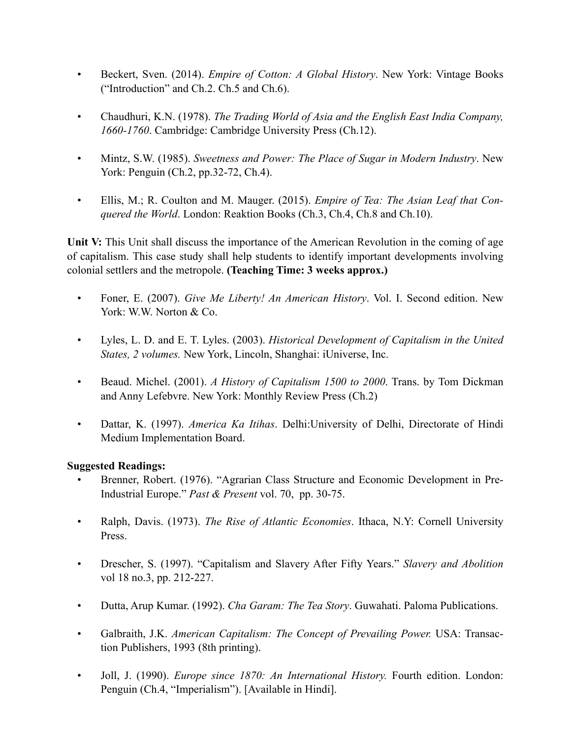- Beckert, Sven. (2014). *Empire of Cotton: A Global History*. New York: Vintage Books ("Introduction" and Ch.2. Ch.5 and Ch.6).
- Chaudhuri, K.N. (1978). *The Trading World of Asia and the English East India Company, 1660-1760*. Cambridge: Cambridge University Press (Ch.12).
- Mintz, S.W. (1985). *Sweetness and Power: The Place of Sugar in Modern Industry*. New York: Penguin (Ch.2, pp.32-72, Ch.4).
- Ellis, M.; R. Coulton and M. Mauger. (2015). *Empire of Tea: The Asian Leaf that Conquered the World*. London: Reaktion Books (Ch.3, Ch.4, Ch.8 and Ch.10).

Unit V: This Unit shall discuss the importance of the American Revolution in the coming of age of capitalism. This case study shall help students to identify important developments involving colonial settlers and the metropole. **(Teaching Time: 3 weeks approx.)**

- Foner, E. (2007). *Give Me Liberty! An American History*. Vol. I. Second edition. New York: W.W. Norton & Co.
- Lyles, L. D. and E. T. Lyles. (2003). *Historical Development of Capitalism in the United States, 2 volumes.* New York, Lincoln, Shanghai: iUniverse, Inc.
- Beaud. Michel. (2001). *A History of Capitalism 1500 to 2000*. Trans. by Tom Dickman and Anny Lefebvre. New York: Monthly Review Press (Ch.2)
- Dattar, K. (1997). *America Ka Itihas*. Delhi:University of Delhi, Directorate of Hindi Medium Implementation Board.

# **Suggested Readings:**

- Brenner, Robert. (1976). "Agrarian Class Structure and Economic Development in Pre-Industrial Europe." *Past & Present* vol. 70, pp. 30-75.
- Ralph, Davis. (1973). *The Rise of Atlantic Economies*. Ithaca, N.Y: Cornell University Press.
- Drescher, S. (1997). "Capitalism and Slavery After Fifty Years." *Slavery and Abolition*  vol 18 no.3, pp. 212-227.
- Dutta, Arup Kumar. (1992). *Cha Garam: The Tea Story*. Guwahati. Paloma Publications.
- Galbraith, J.K. *American Capitalism: The Concept of Prevailing Power.* USA: Transaction Publishers, 1993 (8th printing).
- Joll, J. (1990). *Europe since 1870: An International History.* Fourth edition. London: Penguin (Ch.4, "Imperialism"). [Available in Hindi].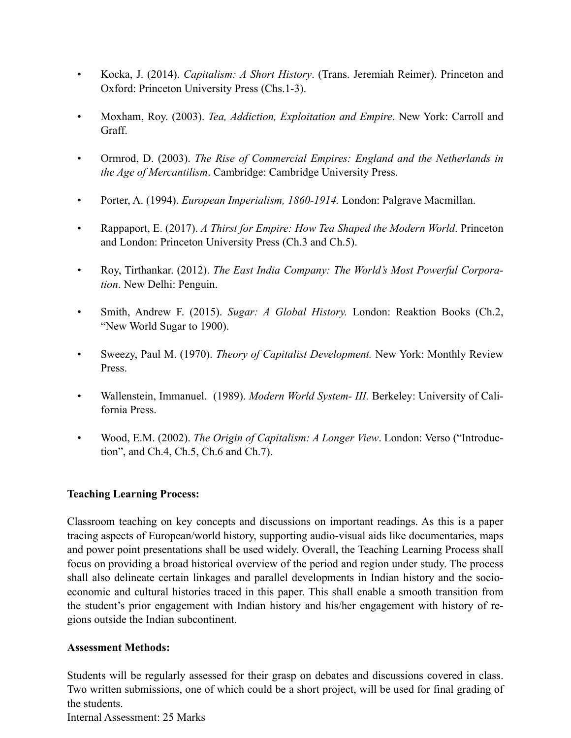- Kocka, J. (2014). *Capitalism: A Short History*. (Trans. Jeremiah Reimer). Princeton and Oxford: Princeton University Press (Chs.1-3).
- Moxham, Roy. (2003). *Tea, Addiction, Exploitation and Empire*. New York: Carroll and Graff.
- Ormrod, D. (2003). *The Rise of Commercial Empires: England and the Netherlands in the Age of Mercantilism*. Cambridge: Cambridge University Press.
- Porter, A. (1994). *European Imperialism, 1860-1914.* London: Palgrave Macmillan.
- Rappaport, E. (2017). *A Thirst for Empire: How Tea Shaped the Modern World*. Princeton and London: Princeton University Press (Ch.3 and Ch.5).
- Roy, Tirthankar. (2012). *The East India Company: The World's Most Powerful Corporation*. New Delhi: Penguin.
- Smith, Andrew F. (2015). *Sugar: A Global History.* London: Reaktion Books (Ch.2, "New World Sugar to 1900).
- Sweezy, Paul M. (1970). *Theory of Capitalist Development.* New York: Monthly Review Press.
- Wallenstein, Immanuel. (1989). *Modern World System- III.* Berkeley: University of California Press.
- Wood, E.M. (2002). *The Origin of Capitalism: A Longer View*. London: Verso ("Introduction", and Ch.4, Ch.5, Ch.6 and Ch.7).

# **Teaching Learning Process:**

Classroom teaching on key concepts and discussions on important readings. As this is a paper tracing aspects of European/world history, supporting audio-visual aids like documentaries, maps and power point presentations shall be used widely. Overall, the Teaching Learning Process shall focus on providing a broad historical overview of the period and region under study. The process shall also delineate certain linkages and parallel developments in Indian history and the socioeconomic and cultural histories traced in this paper. This shall enable a smooth transition from the student's prior engagement with Indian history and his/her engagement with history of regions outside the Indian subcontinent.

# **Assessment Methods:**

Students will be regularly assessed for their grasp on debates and discussions covered in class. Two written submissions, one of which could be a short project, will be used for final grading of the students. Internal Assessment: 25 Marks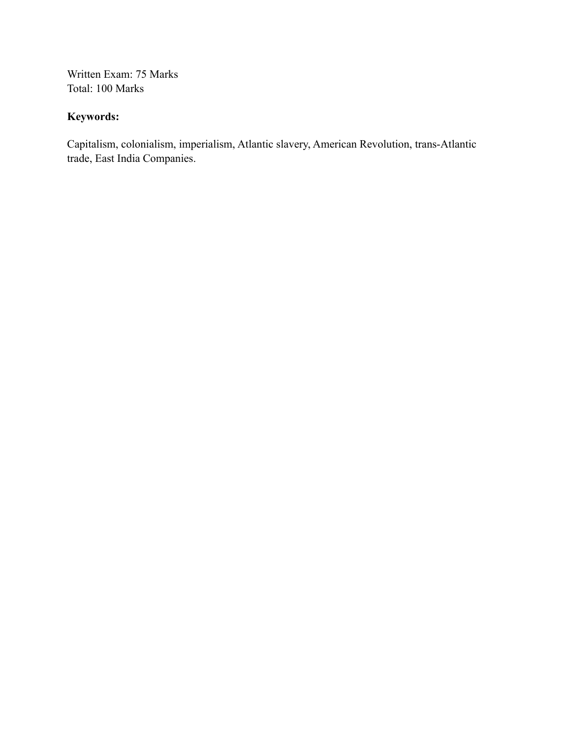Written Exam: 75 Marks Total: 100 Marks

# **Keywords:**

Capitalism, colonialism, imperialism, Atlantic slavery, American Revolution, trans-Atlantic trade, East India Companies.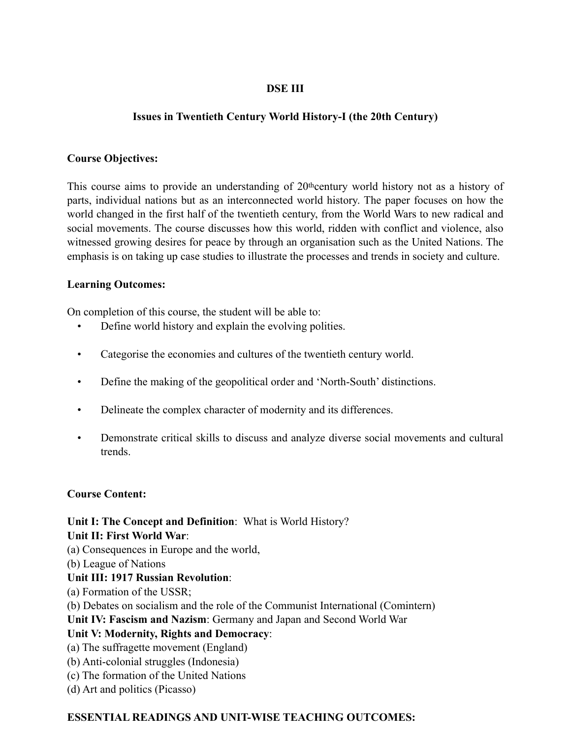# **DSE III**

# **Issues in Twentieth Century World History-I (the 20th Century)**

# **Course Objectives:**

This course aims to provide an understanding of 20<sup>th</sup>century world history not as a history of parts, individual nations but as an interconnected world history. The paper focuses on how the world changed in the first half of the twentieth century, from the World Wars to new radical and social movements. The course discusses how this world, ridden with conflict and violence, also witnessed growing desires for peace by through an organisation such as the United Nations. The emphasis is on taking up case studies to illustrate the processes and trends in society and culture.

# **Learning Outcomes:**

On completion of this course, the student will be able to:

- Define world history and explain the evolving polities.
- Categorise the economies and cultures of the twentieth century world.
- Define the making of the geopolitical order and 'North-South' distinctions.
- Delineate the complex character of modernity and its differences.
- Demonstrate critical skills to discuss and analyze diverse social movements and cultural trends.

# **Course Content:**

# **Unit I: The Concept and Definition**: What is World History?

#### **Unit II: First World War**:

(a) Consequences in Europe and the world,

(b) League of Nations

# **Unit III: 1917 Russian Revolution**:

- (a) Formation of the USSR;
- (b) Debates on socialism and the role of the Communist International (Comintern)

**Unit IV: Fascism and Nazism**: Germany and Japan and Second World War

# **Unit V: Modernity, Rights and Democracy**:

- (a) The suffragette movement (England)
- (b) Anti-colonial struggles (Indonesia)
- (c) The formation of the United Nations
- (d) Art and politics (Picasso)

# **ESSENTIAL READINGS AND UNIT-WISE TEACHING OUTCOMES:**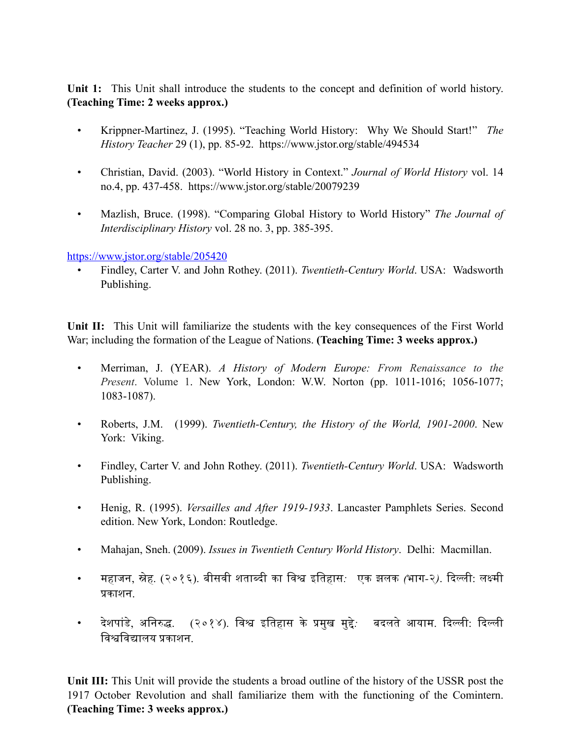**Unit 1:** This Unit shall introduce the students to the concept and definition of world history. **(Teaching Time: 2 weeks approx.)** 

- Krippner-Martinez, J. (1995). "Teaching World History: Why We Should Start!" *The History Teacher* 29 (1), pp. 85-92. https://www.jstor.org/stable/494534
- Christian, David. (2003). "World History in Context." *Journal of World History* vol. 14 no.4, pp. 437-458. https://www.jstor.org/stable/20079239
- Mazlish, Bruce. (1998). "Comparing Global History to World History" *The Journal of Interdisciplinary History* vol. 28 no. 3, pp. 385-395.

<https://www.jstor.org/stable/205420>

• Findley, Carter V. and John Rothey. (2011). *Twentieth-Century World*. USA: Wadsworth Publishing.

**Unit II:** This Unit will familiarize the students with the key consequences of the First World War; including the formation of the League of Nations. **(Teaching Time: 3 weeks approx.)**

- Merriman, J. (YEAR). *A History of Modern Europe: From Renaissance to the Present*. Volume 1. New York, London: W.W. Norton (pp. 1011-1016; 1056-1077; 1083-1087).
- Roberts, J.M. (1999). *Twentieth-Century, the History of the World, 1901-2000*. New York: Viking.
- Findley, Carter V. and John Rothey. (2011). *Twentieth-Century World*. USA: Wadsworth Publishing.
- Henig, R. (1995). *Versailles and After 1919-1933*. Lancaster Pamphlets Series. Second edition. New York, London: Routledge.
- Mahajan, Sneh. (2009). *Issues in Twentieth Century World History*. Delhi: Macmillan.
- महाजन, स्नेह. (२०१६). बीसवी शताब्दी का विश्व इतिहास: एक झलक *(*भाग-२). दिल्ली: लक्ष्मी प्रकाशन.
- देशपांडे, अनिरुद्ध. (२०१४). विश्व इतिहास के प्रमुख मुद्दे: बदलते आयाम. दिल्ली: दिल्ली विश्वविद्यालय प्रकाशन

**Unit III:** This Unit will provide the students a broad outline of the history of the USSR post the 1917 October Revolution and shall familiarize them with the functioning of the Comintern. **(Teaching Time: 3 weeks approx.)**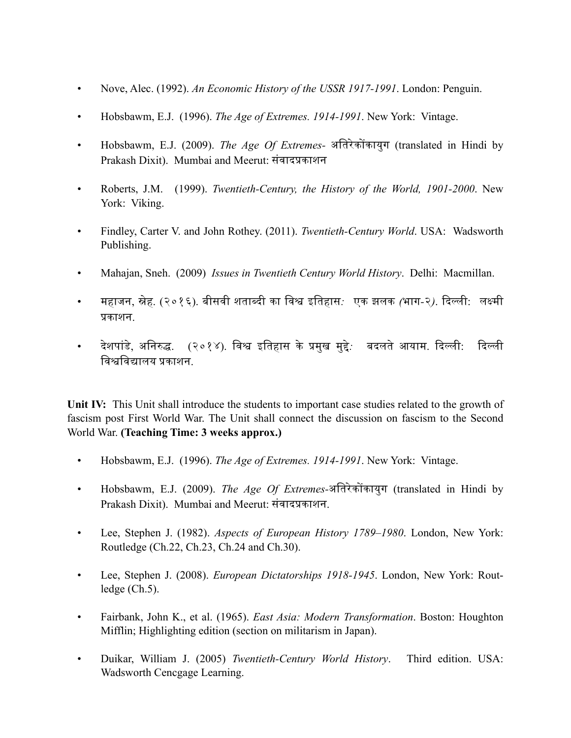- Nove, Alec. (1992). *An Economic History of the USSR 1917-1991*. London: Penguin.
- Hobsbawm, E.J. (1996). *The Age of Extremes. 1914-1991*. New York: Vintage.
- Hobsbawm, E.J. (2009). *The Age Of Extremes* अतिरेकोंकायुग (translated in Hindi by Prakash Dixit). Mumbai and Meerut: संवादप्रकाशन
- Roberts, J.M. (1999). *Twentieth-Century, the History of the World, 1901-2000*. New York: Viking.
- Findley, Carter V. and John Rothey. (2011). *Twentieth-Century World*. USA: Wadsworth Publishing.
- Mahajan, Sneh. (2009) *Issues in Twentieth Century World History*. Delhi: Macmillan.
- महाजन, स्नेह. (२०१६). बीसवी शताब्दी का विश्व इतिहास: एक झलक *(*भाग-२). दिल्ली: लक्ष्मी प्रकाशन.
- देशपांडे, अनिरुद्ध. (२०१४). विश्व इतिहास के प्रमुख मुद्दे: बदलते आयाम. दिल्ली: दिल्ली विश्वविद्यालय प्रकाशन

Unit IV: This Unit shall introduce the students to important case studies related to the growth of fascism post First World War. The Unit shall connect the discussion on fascism to the Second World War. **(Teaching Time: 3 weeks approx.)** 

- Hobsbawm, E.J. (1996). *The Age of Extremes. 1914-1991*. New York: Vintage.
- Hobsbawm, E.J. (2009). *The Age Of Extremes*-अतिरेकोंकायुग (translated in Hindi by Prakash Dixit). Mumbai and Meerut: संवादप्रकाशन.
- Lee, Stephen J. (1982). *Aspects of European History 1789–1980*. London, New York: Routledge (Ch.22, Ch.23, Ch.24 and Ch.30).
- Lee, Stephen J. (2008). *European Dictatorships 1918-1945*. London, New York: Routledge (Ch.5).
- Fairbank, John K., et al. (1965). *East Asia: Modern Transformation*. Boston: Houghton Mifflin; Highlighting edition (section on militarism in Japan).
- Duikar, William J. (2005) *Twentieth-Century World History*. Third edition. USA: Wadsworth Cencgage Learning.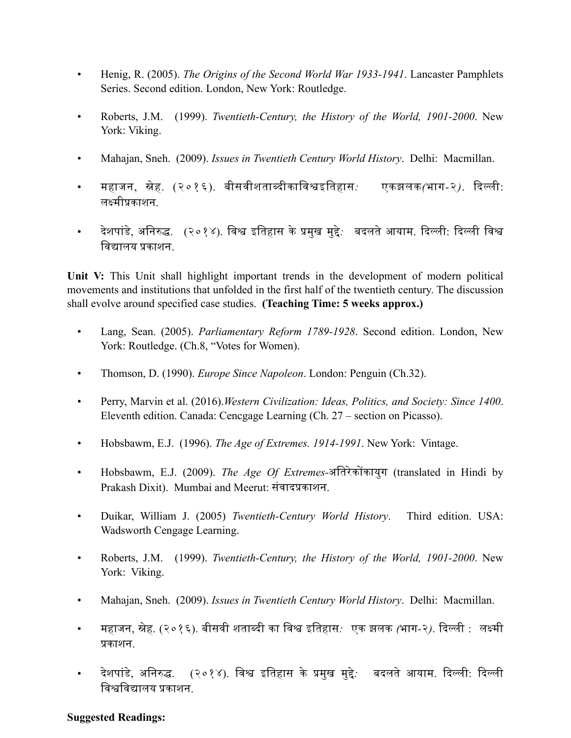- Henig, R. (2005). *The Origins of the Second World War 1933-1941*. Lancaster Pamphlets Series. Second edition. London, New York: Routledge.
- Roberts, J.M. (1999). *Twentieth-Century, the History of the World, 1901-2000*. New York: Viking.
- Mahajan, Sneh. (2009). *Issues in Twentieth Century World History*. Delhi: Macmillan.
- महाजन, स्नेह, (२०१६), बीसवीशताब्दीकाविश्वइतिहास*:* एकझलक*(*भाग-२), दिल्ली: लक्ष्मीप्रकाशन
- देशपांडे, अनिरुद्ध. (२०१४). विश्व इतिहास के प्रमुख मुद्दे: बदलते आयाम. दिल्ली: दिल्ली विश्व विद्यालय प्रकाशन.

Unit V: This Unit shall highlight important trends in the development of modern political movements and institutions that unfolded in the first half of the twentieth century. The discussion shall evolve around specified case studies. **(Teaching Time: 5 weeks approx.)** 

- Lang, Sean. (2005). *Parliamentary Reform 1789-1928*. Second edition. London, New York: Routledge. (Ch.8, "Votes for Women).
- Thomson, D. (1990). *Europe Since Napoleon*. London: Penguin (Ch.32).
- Perry, Marvin et al. (2016).*Western Civilization: Ideas, Politics, and Society: Since 1400*. Eleventh edition. Canada: Cencgage Learning (Ch. 27 – section on Picasso).
- Hobsbawm, E.J. (1996). *The Age of Extremes. 1914-1991*. New York: Vintage.
- Hobsbawm, E.J. (2009). *The Age Of Extremes*-अतिरेकोंकायुग (translated in Hindi by Prakash Dixit). Mumbai and Meerut: संवादप्रकाशन.
- Duikar, William J. (2005) *Twentieth-Century World History*. Third edition. USA: Wadsworth Cengage Learning.
- Roberts, J.M. (1999). *Twentieth-Century, the History of the World, 1901-2000*. New York: Viking.
- Mahajan, Sneh. (2009). *Issues in Twentieth Century World History*. Delhi: Macmillan.
- महाजन, स्नेह. (२०१६). बीसवी शताब्दी का विश्व इतिहास: एक झलक *(*भाग-२). दिल्ली : लक्ष्मी प्रकाशन
- देशपांडे, अनिरुद्ध. (२०१४). विश्व इतिहास के प्रमुख मुद्दे: बदलते आयाम. दिल्ली: दिल्ली विश्वविद्यालय प्रकाशन

# **Suggested Readings:**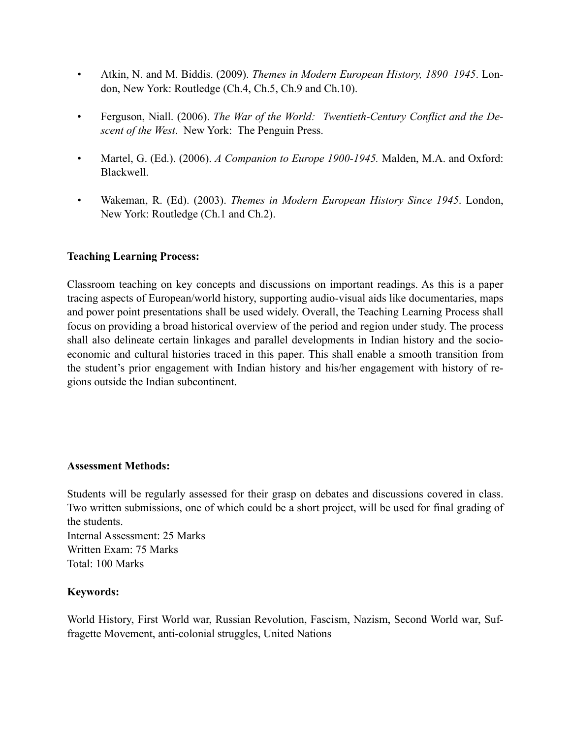- Atkin, N. and M. Biddis. (2009). *Themes in Modern European History, 1890–1945*. London, New York: Routledge (Ch.4, Ch.5, Ch.9 and Ch.10).
- Ferguson, Niall. (2006). *The War of the World: Twentieth-Century Conflict and the Descent of the West*. New York: The Penguin Press.
- Martel, G. (Ed.). (2006). *A Companion to Europe 1900-1945.* Malden, M.A. and Oxford: Blackwell.
- Wakeman, R. (Ed). (2003). *Themes in Modern European History Since 1945*. London, New York: Routledge (Ch.1 and Ch.2).

# **Teaching Learning Process:**

Classroom teaching on key concepts and discussions on important readings. As this is a paper tracing aspects of European/world history, supporting audio-visual aids like documentaries, maps and power point presentations shall be used widely. Overall, the Teaching Learning Process shall focus on providing a broad historical overview of the period and region under study. The process shall also delineate certain linkages and parallel developments in Indian history and the socioeconomic and cultural histories traced in this paper. This shall enable a smooth transition from the student's prior engagement with Indian history and his/her engagement with history of regions outside the Indian subcontinent.

#### **Assessment Methods:**

Students will be regularly assessed for their grasp on debates and discussions covered in class. Two written submissions, one of which could be a short project, will be used for final grading of the students. Internal Assessment: 25 Marks

Written Exam: 75 Marks Total: 100 Marks

# **Keywords:**

World History, First World war, Russian Revolution, Fascism, Nazism, Second World war, Suffragette Movement, anti-colonial struggles, United Nations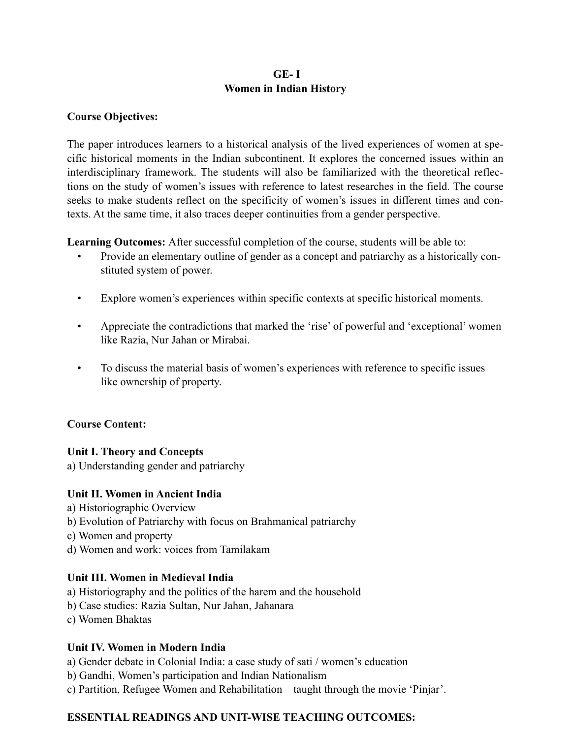# **GE- I Women in Indian History**

# **Course Objectives:**

The paper introduces learners to a historical analysis of the lived experiences of women at specific historical moments in the Indian subcontinent. It explores the concerned issues within an interdisciplinary framework. The students will also be familiarized with the theoretical reflections on the study of women's issues with reference to latest researches in the field. The course seeks to make students reflect on the specificity of women's issues in different times and contexts. At the same time, it also traces deeper continuities from a gender perspective.

**Learning Outcomes:** After successful completion of the course, students will be able to:

- Provide an elementary outline of gender as a concept and patriarchy as a historically constituted system of power.
- Explore women's experiences within specific contexts at specific historical moments.
- Appreciate the contradictions that marked the 'rise' of powerful and 'exceptional' women like Razia, Nur Jahan or Mirabai.
- To discuss the material basis of women's experiences with reference to specific issues like ownership of property.

# **Course Content:**

# **Unit I. Theory and Concepts**

a) Understanding gender and patriarchy

# **Unit II. Women in Ancient India**

- a) Historiographic Overview
- b) Evolution of Patriarchy with focus on Brahmanical patriarchy
- c) Women and property
- d) Women and work: voices from Tamilakam

# **Unit III. Women in Medieval India**

- a) Historiography and the politics of the harem and the household
- b) Case studies: Razia Sultan, Nur Jahan, Jahanara
- c) Women Bhaktas

# **Unit IV. Women in Modern India**

- a) Gender debate in Colonial India: a case study of sati / women's education
- b) Gandhi, Women's participation and Indian Nationalism
- c) Partition, Refugee Women and Rehabilitation taught through the movie 'Pinjar'.

# **ESSENTIAL READINGS AND UNIT-WISE TEACHING OUTCOMES:**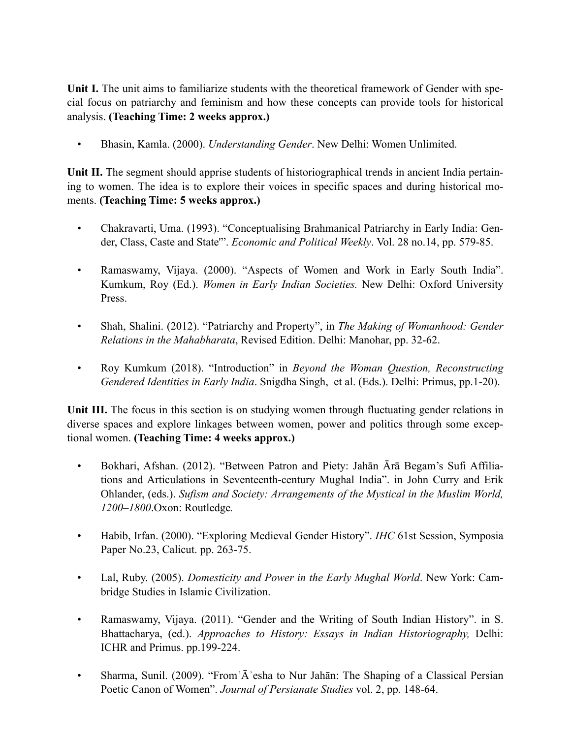**Unit I.** The unit aims to familiarize students with the theoretical framework of Gender with special focus on patriarchy and feminism and how these concepts can provide tools for historical analysis. **(Teaching Time: 2 weeks approx.)**

• Bhasin, Kamla. (2000). *Understanding Gender*. New Delhi: Women Unlimited.

Unit II. The segment should apprise students of historiographical trends in ancient India pertaining to women. The idea is to explore their voices in specific spaces and during historical moments. **(Teaching Time: 5 weeks approx.)**

- Chakravarti, Uma. (1993). "Conceptualising Brahmanical Patriarchy in Early India: Gender, Class, Caste and State'". *Economic and Political Weekly*. Vol. 28 no.14, pp. 579-85.
- Ramaswamy, Vijaya. (2000). "Aspects of Women and Work in Early South India". Kumkum, Roy (Ed.). *Women in Early Indian Societies.* New Delhi: Oxford University Press.
- Shah, Shalini. (2012). "Patriarchy and Property", in *The Making of Womanhood: Gender Relations in the Mahabharata*, Revised Edition. Delhi: Manohar, pp. 32-62.
- Roy Kumkum (2018). "Introduction" in *Beyond the Woman Question, Reconstructing Gendered Identities in Early India*. Snigdha Singh, et al. (Eds.). Delhi: Primus, pp.1-20).

**Unit III.** The focus in this section is on studying women through fluctuating gender relations in diverse spaces and explore linkages between women, power and politics through some exceptional women. **(Teaching Time: 4 weeks approx.)**

- Bokhari, Afshan. (2012). "Between Patron and Piety: Jahān Ārā Begam's Sufi Affiliations and Articulations in Seventeenth-century Mughal India". in John Curry and [Erik](https://www.google.co.in/search?tbo=p&tbm=bks&q=inauthor:%2525252522Erik+Ohlander%2525252522&source=gbs_metadata_r&cad=6)  [Ohlander](https://www.google.co.in/search?tbo=p&tbm=bks&q=inauthor:%2525252522Erik+Ohlander%2525252522&source=gbs_metadata_r&cad=6), (eds.). *Sufism and Society: Arrangements of the Mystical in the Muslim World, 1200–1800*.Oxon: Routledge*.*
- Habib, Irfan. (2000). "Exploring Medieval Gender History". *IHC* 61st Session, Symposia Paper No.23, Calicut. pp. 263-75.
- Lal, Ruby. (2005). *Domesticity and Power in the Early Mughal World*. New York: Cambridge Studies in Islamic Civilization.
- Ramaswamy, Vijaya. (2011). "Gender and the Writing of South Indian History". in S. Bhattacharya, (ed.). *Approaches to History: Essays in Indian Historiography,* Delhi: ICHR and Primus. pp.199-224.
- Sharma, Sunil. (2009). "From  $\bar{A}$  esha to Nur Jahān: The Shaping of a Classical Persian Poetic Canon of Women". *Journal of Persianate Studies* vol. 2, pp. 148-64.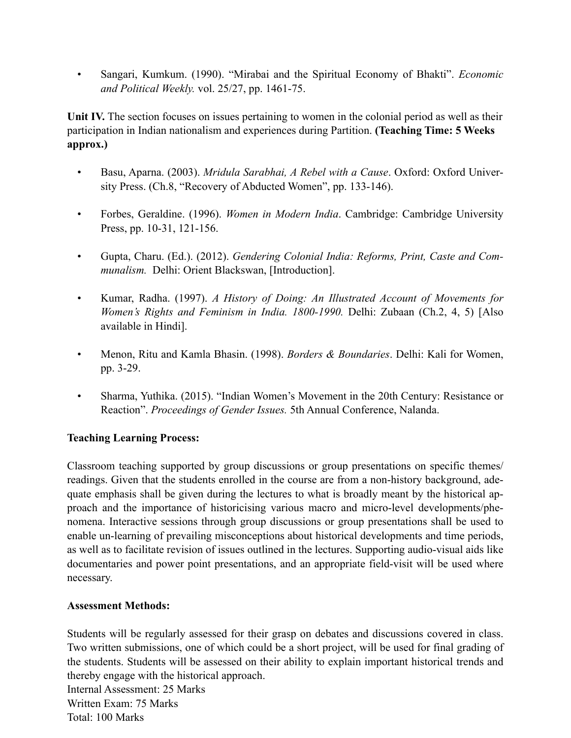• Sangari, Kumkum. (1990). "Mirabai and the Spiritual Economy of Bhakti". *Economic and Political Weekly.* vol. 25/27, pp. 1461-75.

Unit IV. The section focuses on issues pertaining to women in the colonial period as well as their participation in Indian nationalism and experiences during Partition. **(Teaching Time: 5 Weeks approx.)**

- Basu, Aparna. (2003). *Mridula Sarabhai, A Rebel with a Cause*. Oxford: Oxford University Press. (Ch.8, "Recovery of Abducted Women", pp. 133-146).
- Forbes, Geraldine. (1996). *Women in Modern India*. Cambridge: Cambridge University Press, pp. 10-31, 121-156.
- Gupta, Charu. (Ed.). (2012). *Gendering Colonial India: Reforms, Print, Caste and Communalism.* Delhi: Orient Blackswan, [Introduction].
- Kumar, Radha. (1997). *A History of Doing: An Illustrated Account of Movements for Women's Rights and Feminism in India. 1800-1990.* Delhi: Zubaan (Ch.2, 4, 5) [Also available in Hindi].
- Menon, Ritu and Kamla Bhasin. (1998). *Borders & Boundaries*. Delhi: Kali for Women, pp. 3-29.
- Sharma, Yuthika. (2015). "Indian Women's Movement in the 20th Century: Resistance or Reaction". *Proceedings of Gender Issues.* 5th Annual Conference, Nalanda.

# **Teaching Learning Process:**

Classroom teaching supported by group discussions or group presentations on specific themes/ readings. Given that the students enrolled in the course are from a non-history background, adequate emphasis shall be given during the lectures to what is broadly meant by the historical approach and the importance of historicising various macro and micro-level developments/phenomena. Interactive sessions through group discussions or group presentations shall be used to enable un-learning of prevailing misconceptions about historical developments and time periods, as well as to facilitate revision of issues outlined in the lectures. Supporting audio-visual aids like documentaries and power point presentations, and an appropriate field-visit will be used where necessary.

# **Assessment Methods:**

Students will be regularly assessed for their grasp on debates and discussions covered in class. Two written submissions, one of which could be a short project, will be used for final grading of the students. Students will be assessed on their ability to explain important historical trends and thereby engage with the historical approach. Internal Assessment: 25 Marks

Written Exam: 75 Marks Total: 100 Marks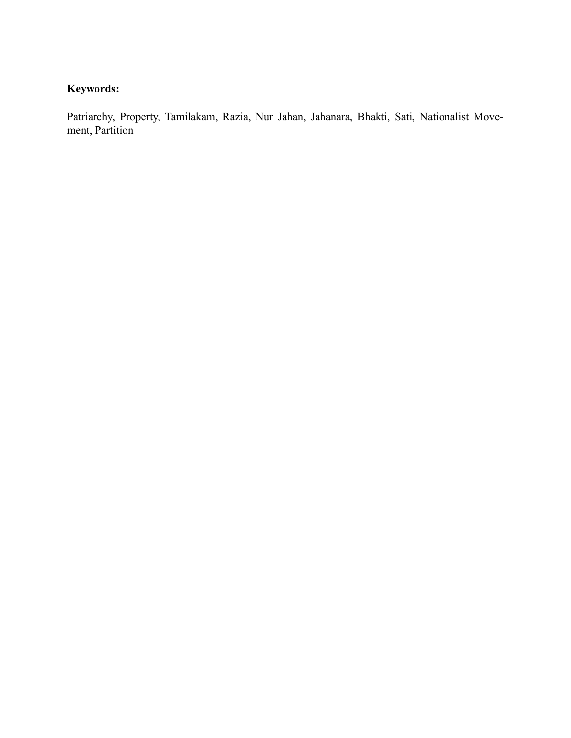# **Keywords:**

Patriarchy, Property, Tamilakam, Razia, Nur Jahan, Jahanara, Bhakti, Sati, Nationalist Movement, Partition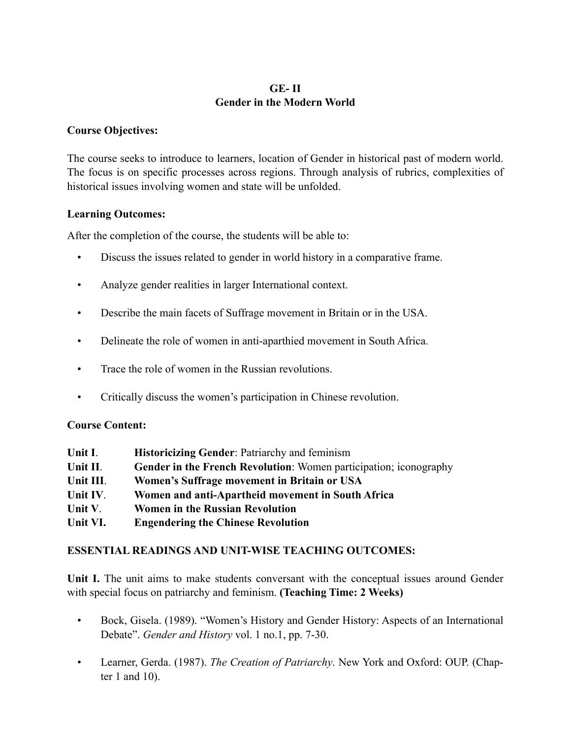# **GE- II Gender in the Modern World**

# **Course Objectives:**

The course seeks to introduce to learners, location of Gender in historical past of modern world. The focus is on specific processes across regions. Through analysis of rubrics, complexities of historical issues involving women and state will be unfolded.

#### **Learning Outcomes:**

After the completion of the course, the students will be able to:

- Discuss the issues related to gender in world history in a comparative frame.
- Analyze gender realities in larger International context.
- Describe the main facets of Suffrage movement in Britain or in the USA.
- Delineate the role of women in anti-aparthied movement in South Africa.
- Trace the role of women in the Russian revolutions.
- Critically discuss the women's participation in Chinese revolution.

# **Course Content:**

| Unit I.   | <b>Historicizing Gender: Patriarchy and feminism</b>                     |
|-----------|--------------------------------------------------------------------------|
| Unit II.  | <b>Gender in the French Revolution:</b> Women participation; iconography |
| Unit III. | Women's Suffrage movement in Britain or USA                              |
| Unit IV.  | Women and anti-Apartheid movement in South Africa                        |
| Unit V.   | <b>Women in the Russian Revolution</b>                                   |
| Unit VI.  | <b>Engendering the Chinese Revolution</b>                                |

# **ESSENTIAL READINGS AND UNIT-WISE TEACHING OUTCOMES:**

Unit I. The unit aims to make students conversant with the conceptual issues around Gender with special focus on patriarchy and feminism. **(Teaching Time: 2 Weeks)**

- Bock, Gisela. (1989). "Women's History and Gender History: Aspects of an International Debate". *Gender and History* vol. 1 no.1, pp. 7-30.
- Learner, Gerda. (1987). *The Creation of Patriarchy*. New York and Oxford: OUP. (Chapter 1 and 10).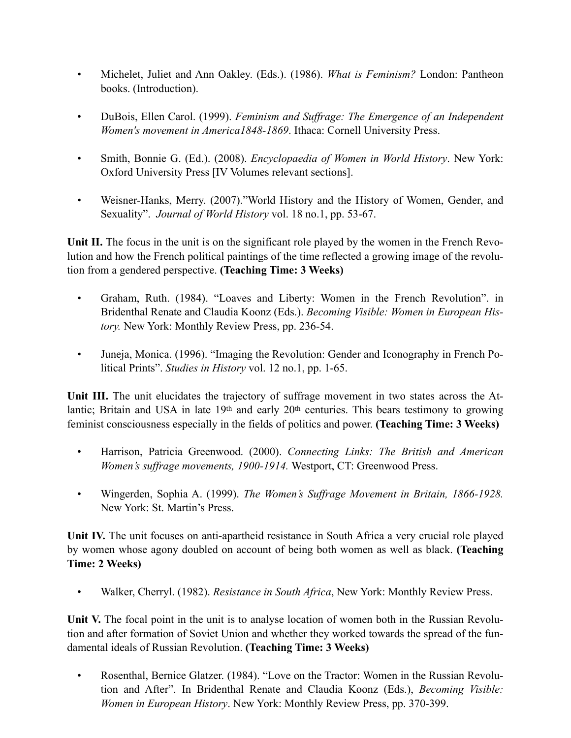- Michelet, Juliet and Ann Oakley. (Eds.). (1986). *What is Feminism?* London: Pantheon books. (Introduction).
- DuBois, Ellen Carol. (1999). *Feminism and Suffrage: The Emergence of an Independent Women's movement in America1848-1869*. Ithaca: Cornell University Press.
- Smith, Bonnie G. (Ed.). (2008). *Encyclopaedia of Women in World History*. New York: Oxford University Press [IV Volumes relevant sections].
- Weisner-Hanks, Merry. (2007)."World History and the History of Women, Gender, and Sexuality". *Journal of World History* vol. 18 no.1, pp. 53-67.

**Unit II.** The focus in the unit is on the significant role played by the women in the French Revolution and how the French political paintings of the time reflected a growing image of the revolution from a gendered perspective. **(Teaching Time: 3 Weeks)**

- Graham, Ruth. (1984). "Loaves and Liberty: Women in the French Revolution". in Bridenthal Renate and Claudia Koonz (Eds.). *Becoming Visible: Women in European History.* New York: Monthly Review Press, pp. 236-54.
- Juneja, Monica. (1996). "Imaging the Revolution: Gender and Iconography in French Political Prints". *Studies in History* vol. 12 no.1, pp. 1-65.

**Unit III.** The unit elucidates the trajectory of suffrage movement in two states across the Atlantic; Britain and USA in late 19th and early 20th centuries. This bears testimony to growing feminist consciousness especially in the fields of politics and power. **(Teaching Time: 3 Weeks)**

- Harrison, Patricia Greenwood. (2000). *Connecting Links: The British and American Women's suffrage movements, 1900-1914.* Westport, CT: Greenwood Press.
- Wingerden, Sophia A. (1999). *The Women's Suffrage Movement in Britain, 1866-1928.*  New York: St. Martin's Press.

Unit IV. The unit focuses on anti-apartheid resistance in South Africa a very crucial role played by women whose agony doubled on account of being both women as well as black. **(Teaching Time: 2 Weeks)**

• Walker, Cherryl. (1982). *Resistance in South Africa*, New York: Monthly Review Press.

Unit V. The focal point in the unit is to analyse location of women both in the Russian Revolution and after formation of Soviet Union and whether they worked towards the spread of the fundamental ideals of Russian Revolution. **(Teaching Time: 3 Weeks)**

• Rosenthal, Bernice Glatzer. (1984). "Love on the Tractor: Women in the Russian Revolution and After". In Bridenthal Renate and Claudia Koonz (Eds.), *Becoming Visible: Women in European History*. New York: Monthly Review Press, pp. 370-399.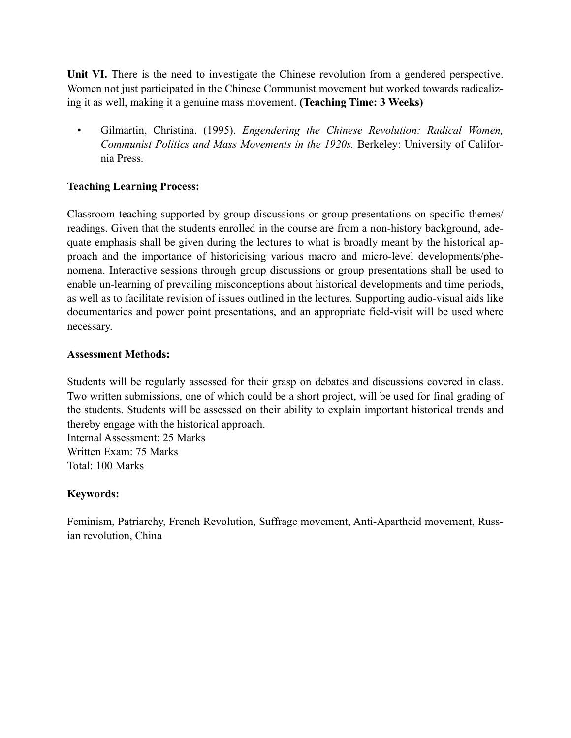Unit VI. There is the need to investigate the Chinese revolution from a gendered perspective. Women not just participated in the Chinese Communist movement but worked towards radicalizing it as well, making it a genuine mass movement. **(Teaching Time: 3 Weeks)**

• Gilmartin, Christina. (1995). *Engendering the Chinese Revolution: Radical Women, Communist Politics and Mass Movements in the 1920s.* Berkeley: University of California Press.

# **Teaching Learning Process:**

Classroom teaching supported by group discussions or group presentations on specific themes/ readings. Given that the students enrolled in the course are from a non-history background, adequate emphasis shall be given during the lectures to what is broadly meant by the historical approach and the importance of historicising various macro and micro-level developments/phenomena. Interactive sessions through group discussions or group presentations shall be used to enable un-learning of prevailing misconceptions about historical developments and time periods, as well as to facilitate revision of issues outlined in the lectures. Supporting audio-visual aids like documentaries and power point presentations, and an appropriate field-visit will be used where necessary.

# **Assessment Methods:**

Students will be regularly assessed for their grasp on debates and discussions covered in class. Two written submissions, one of which could be a short project, will be used for final grading of the students. Students will be assessed on their ability to explain important historical trends and thereby engage with the historical approach.

Internal Assessment: 25 Marks Written Exam: 75 Marks Total: 100 Marks

# **Keywords:**

Feminism, Patriarchy, French Revolution, Suffrage movement, Anti-Apartheid movement, Russian revolution, China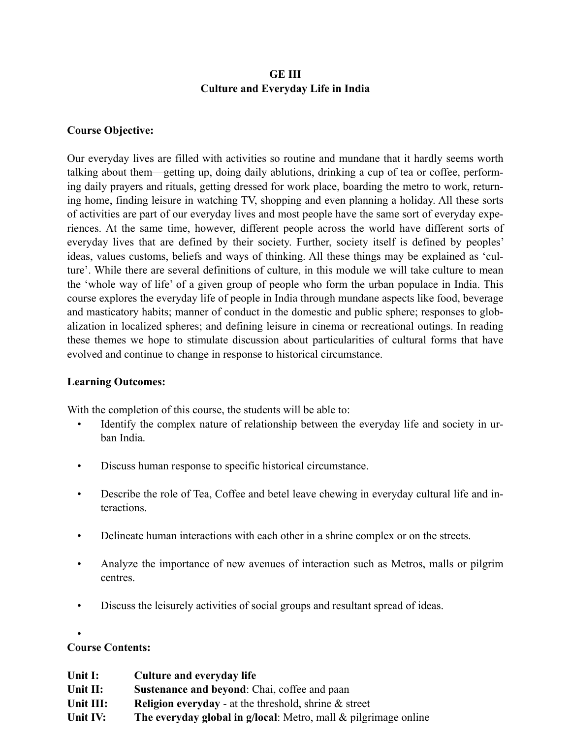# **GE III Culture and Everyday Life in India**

# **Course Objective:**

Our everyday lives are filled with activities so routine and mundane that it hardly seems worth talking about them—getting up, doing daily ablutions, drinking a cup of tea or coffee, performing daily prayers and rituals, getting dressed for work place, boarding the metro to work, returning home, finding leisure in watching TV, shopping and even planning a holiday. All these sorts of activities are part of our everyday lives and most people have the same sort of everyday experiences. At the same time, however, different people across the world have different sorts of everyday lives that are defined by their society. Further, society itself is defined by peoples' ideas, values customs, beliefs and ways of thinking. All these things may be explained as 'culture'. While there are several definitions of culture, in this module we will take culture to mean the 'whole way of life' of a given group of people who form the urban populace in India. This course explores the everyday life of people in India through mundane aspects like food, beverage and masticatory habits; manner of conduct in the domestic and public sphere; responses to globalization in localized spheres; and defining leisure in cinema or recreational outings. In reading these themes we hope to stimulate discussion about particularities of cultural forms that have evolved and continue to change in response to historical circumstance.

# **Learning Outcomes:**

With the completion of this course, the students will be able to:

- Identify the complex nature of relationship between the everyday life and society in urban India.
- Discuss human response to specific historical circumstance.
- Describe the role of Tea, Coffee and betel leave chewing in everyday cultural life and interactions.
- Delineate human interactions with each other in a shrine complex or on the streets.
- Analyze the importance of new avenues of interaction such as Metros, malls or pilgrim centres.
- Discuss the leisurely activities of social groups and resultant spread of ideas.

# **Course Contents:**

•

| Unit I:     | Culture and everyday life                                          |
|-------------|--------------------------------------------------------------------|
| Unit $II$ : | <b>Sustenance and beyond:</b> Chai, coffee and paan                |
| Unit III:   | <b>Religion everyday</b> - at the threshold, shrine $\&$ street    |
| Unit IV:    | The everyday global in g/local: Metro, mall $\&$ pilgrimage online |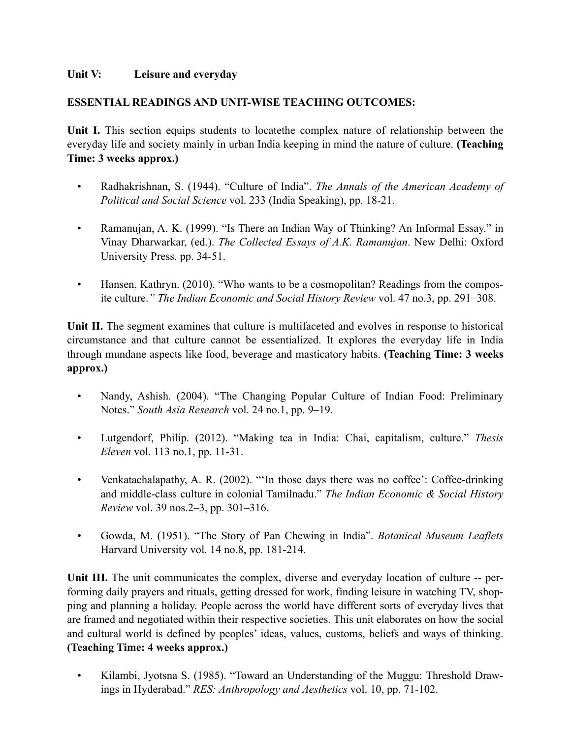# **Unit V: Leisure and everyday**

# **ESSENTIAL READINGS AND UNIT-WISE TEACHING OUTCOMES:**

Unit I. This section equips students to locate the complex nature of relationship between the everyday life and society mainly in urban India keeping in mind the nature of culture. **(Teaching Time: 3 weeks approx.)**

- Radhakrishnan, S. (1944). "Culture of India". *The Annals of the American Academy of Political and Social Science* vol. 233 (India Speaking), pp. 18-21.
- Ramanujan, A. K. (1999). "Is There an Indian Way of Thinking? An Informal Essay." in Vinay Dharwarkar, (ed.). *The Collected Essays of A.K. Ramanujan*. New Delhi: Oxford University Press. pp. 34-51.
- Hansen, Kathryn. (2010). "Who wants to be a cosmopolitan? Readings from the composite culture.*" The Indian Economic and Social History Review* vol. 47 no.3, pp. 291–308.

Unit II. The segment examines that culture is multifaceted and evolves in response to historical circumstance and that culture cannot be essentialized. It explores the everyday life in India through mundane aspects like food, beverage and masticatory habits. **(Teaching Time: 3 weeks approx.)**

- Nandy, Ashish. (2004). "The Changing Popular Culture of Indian Food: Preliminary Notes." *South Asia Research* vol. 24 no.1, pp. 9–19.
- Lutgendorf, Philip. (2012). "Making tea in India: Chai, capitalism, culture." *Thesis Eleven* vol. 113 no.1, pp. 11-31.
- Venkatachalapathy, A. R. (2002). "'In those days there was no coffee': Coffee-drinking and middle-class culture in colonial Tamilnadu." *The Indian Economic & Social History Review* vol. 39 nos.2–3, pp. 301–316.
- Gowda, M. (1951). "The Story of Pan Chewing in India". *Botanical Museum Leaflets* Harvard University vol. 14 no.8, pp. 181-214.

**Unit III.** The unit communicates the complex, diverse and everyday location of culture -- performing daily prayers and rituals, getting dressed for work, finding leisure in watching TV, shopping and planning a holiday. People across the world have different sorts of everyday lives that are framed and negotiated within their respective societies. This unit elaborates on how the social and cultural world is defined by peoples' ideas, values, customs, beliefs and ways of thinking. **(Teaching Time: 4 weeks approx.)**

• Kilambi, Jyotsna S. (1985). "Toward an Understanding of the Muggu: Threshold Drawings in Hyderabad." *RES: Anthropology and Aesthetics* vol. 10, pp. 71-102.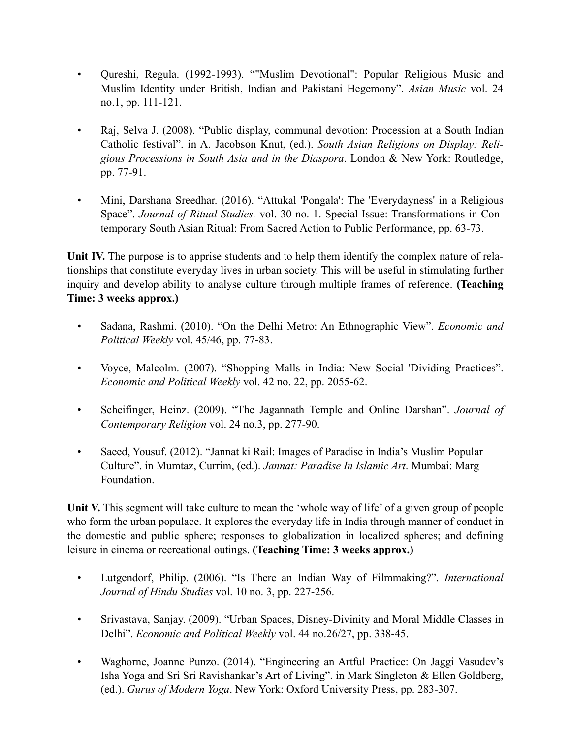- Qureshi, Regula. (1992-1993). ""Muslim Devotional": Popular Religious Music and Muslim Identity under British, Indian and Pakistani Hegemony". *Asian Music* vol. 24 no.1, pp. 111-121.
- Raj, Selva J. (2008). "Public display, communal devotion: Procession at a South Indian Catholic festival". in A. Jacobson Knut, (ed.). *South Asian Religions on Display: Religious Processions in South Asia and in the Diaspora*. London & New York: Routledge, pp. 77-91.
- Mini, Darshana Sreedhar. (2016). "Attukal 'Pongala': The 'Everydayness' in a Religious Space". *Journal of Ritual Studies.* vol. 30 no. 1. Special Issue: Transformations in Contemporary South Asian Ritual: From Sacred Action to Public Performance, pp. 63-73.

**Unit IV.** The purpose is to apprise students and to help them identify the complex nature of relationships that constitute everyday lives in urban society. This will be useful in stimulating further inquiry and develop ability to analyse culture through multiple frames of reference. **(Teaching Time: 3 weeks approx.)**

- Sadana, Rashmi. (2010). "On the Delhi Metro: An Ethnographic View". *Economic and Political Weekly* vol. 45/46, pp. 77-83.
- Voyce, Malcolm. (2007). "Shopping Malls in India: New Social 'Dividing Practices". *Economic and Political Weekly* vol. 42 no. 22, pp. 2055-62.
- Scheifinger, Heinz. (2009). "The Jagannath Temple and Online Darshan". *Journal of Contemporary Religion* vol. 24 no.3, pp. 277-90.
- Saeed, Yousuf. (2012). "Jannat ki Rail: Images of Paradise in India's Muslim Popular Culture". in Mumtaz, Currim, (ed.). *[Jannat: Paradise In Islamic Art](http://www.marg-art.org/p/522/jannat)*. Mumbai: Marg Foundation.

**Unit V.** This segment will take culture to mean the 'whole way of life' of a given group of people who form the urban populace. It explores the everyday life in India through manner of conduct in the domestic and public sphere; responses to globalization in localized spheres; and defining leisure in cinema or recreational outings. **(Teaching Time: 3 weeks approx.)**

- Lutgendorf, Philip. (2006). "Is There an Indian Way of Filmmaking?". *International Journal of Hindu Studies* vol. 10 no. 3, pp. 227-256.
- Srivastava, Sanjay. (2009). "Urban Spaces, Disney-Divinity and Moral Middle Classes in Delhi". *Economic and Political Weekly* vol. 44 no.26/27, pp. 338-45.
- Waghorne, Joanne Punzo. (2014). "Engineering an Artful Practice: On Jaggi Vasudev's Isha Yoga and Sri Sri Ravishankar's Art of Living". in Mark Singleton & Ellen Goldberg, (ed.). *Gurus of Modern Yoga*. New York: Oxford University Press, pp. 283-307.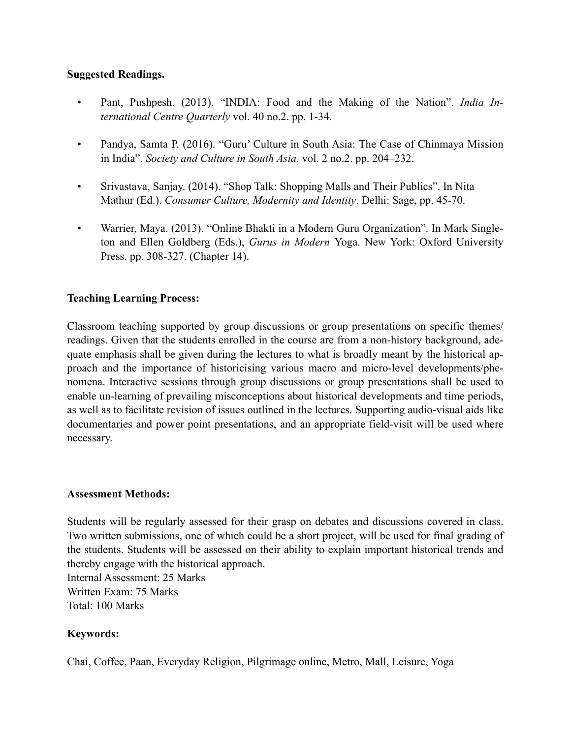# **Suggested Readings.**

- Pant, Pushpesh. (2013). "INDIA: Food and the Making of the Nation". *India International Centre Quarterly* vol. 40 no.2. pp. 1-34.
- Pandya, Samta P. (2016). "Guru' Culture in South Asia: The Case of Chinmaya Mission in India". *Society and Culture in South Asia.* vol. 2 no.2. pp. 204–232.
- Srivastava, Sanjay. (2014). "Shop Talk: Shopping Malls and Their Publics". In Nita Mathur (Ed.). *[Consumer Culture, Modernity and Identity](http://sk.sagepub.com/books/consumer-culture-modernity-and-identity)*. Delhi: Sage, pp. 45-70.
- Warrier, Maya. (2013). "Online Bhakti in a Modern Guru Organization". In Mark Singleton and Ellen Goldberg (Eds.), *Gurus in Modern* Yoga. New York: Oxford University Press. pp. 308-327. (Chapter 14).

# **Teaching Learning Process:**

Classroom teaching supported by group discussions or group presentations on specific themes/ readings. Given that the students enrolled in the course are from a non-history background, adequate emphasis shall be given during the lectures to what is broadly meant by the historical approach and the importance of historicising various macro and micro-level developments/phenomena. Interactive sessions through group discussions or group presentations shall be used to enable un-learning of prevailing misconceptions about historical developments and time periods, as well as to facilitate revision of issues outlined in the lectures. Supporting audio-visual aids like documentaries and power point presentations, and an appropriate field-visit will be used where necessary.

# **Assessment Methods:**

Students will be regularly assessed for their grasp on debates and discussions covered in class. Two written submissions, one of which could be a short project, will be used for final grading of the students. Students will be assessed on their ability to explain important historical trends and thereby engage with the historical approach.

Internal Assessment: 25 Marks Written Exam: 75 Marks Total: 100 Marks

# **Keywords:**

Chai, Coffee, Paan, Everyday Religion, Pilgrimage online, Metro, Mall, Leisure, Yoga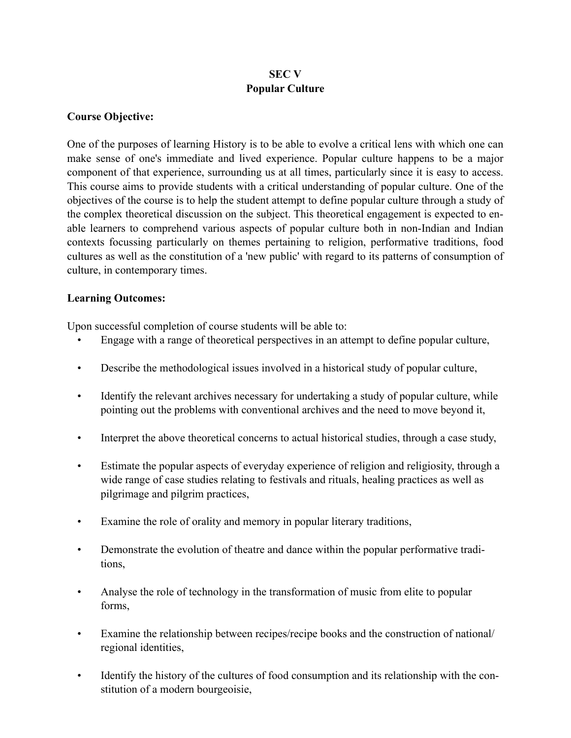# **SEC V Popular Culture**

#### **Course Objective:**

One of the purposes of learning History is to be able to evolve a critical lens with which one can make sense of one's immediate and lived experience. Popular culture happens to be a major component of that experience, surrounding us at all times, particularly since it is easy to access. This course aims to provide students with a critical understanding of popular culture. One of the objectives of the course is to help the student attempt to define popular culture through a study of the complex theoretical discussion on the subject. This theoretical engagement is expected to enable learners to comprehend various aspects of popular culture both in non-Indian and Indian contexts focussing particularly on themes pertaining to religion, performative traditions, food cultures as well as the constitution of a 'new public' with regard to its patterns of consumption of culture, in contemporary times.

#### **Learning Outcomes:**

Upon successful completion of course students will be able to:

- Engage with a range of theoretical perspectives in an attempt to define popular culture,
- Describe the methodological issues involved in a historical study of popular culture,
- Identify the relevant archives necessary for undertaking a study of popular culture, while pointing out the problems with conventional archives and the need to move beyond it,
- Interpret the above theoretical concerns to actual historical studies, through a case study,
- Estimate the popular aspects of everyday experience of religion and religiosity, through a wide range of case studies relating to festivals and rituals, healing practices as well as pilgrimage and pilgrim practices,
- Examine the role of orality and memory in popular literary traditions,
- Demonstrate the evolution of theatre and dance within the popular performative traditions,
- Analyse the role of technology in the transformation of music from elite to popular forms,
- Examine the relationship between recipes/recipe books and the construction of national/ regional identities,
- Identify the history of the cultures of food consumption and its relationship with the constitution of a modern bourgeoisie,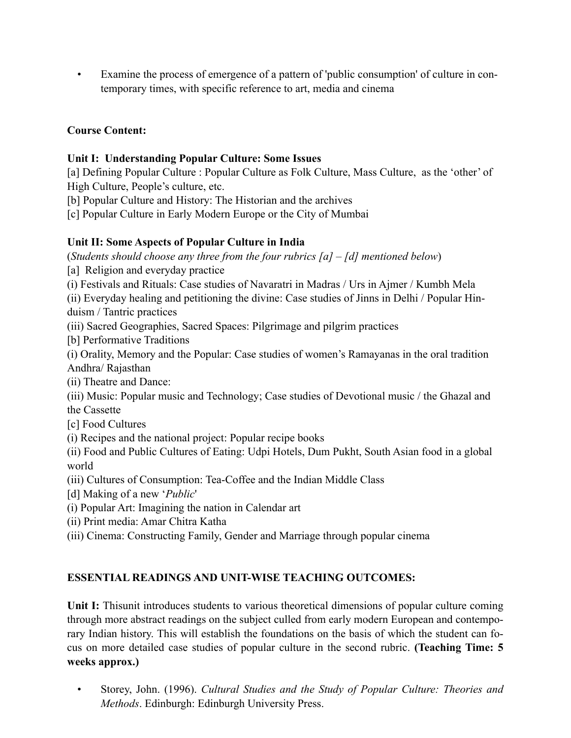• Examine the process of emergence of a pattern of 'public consumption' of culture in contemporary times, with specific reference to art, media and cinema

# **Course Content:**

# **Unit I: Understanding Popular Culture: Some Issues**

[a] Defining Popular Culture : Popular Culture as Folk Culture, Mass Culture, as the 'other' of High Culture, People's culture, etc.

[b] Popular Culture and History: The Historian and the archives

[c] Popular Culture in Early Modern Europe or the City of Mumbai

# **Unit II: Some Aspects of Popular Culture in India**

(*Students should choose any three from the four rubrics [a] – [d] mentioned below*)

- [a] Religion and everyday practice
- (i) Festivals and Rituals: Case studies of Navaratri in Madras / Urs in Ajmer / Kumbh Mela

(ii) Everyday healing and petitioning the divine: Case studies of Jinns in Delhi / Popular Hinduism / Tantric practices

- (iii) Sacred Geographies, Sacred Spaces: Pilgrimage and pilgrim practices
- [b] Performative Traditions

(i) Orality, Memory and the Popular: Case studies of women's Ramayanas in the oral tradition Andhra/ Rajasthan

(ii) Theatre and Dance:

(iii) Music: Popular music and Technology; Case studies of Devotional music / the Ghazal and the Cassette

[c] Food Cultures

(i) Recipes and the national project: Popular recipe books

(ii) Food and Public Cultures of Eating: Udpi Hotels, Dum Pukht, South Asian food in a global world

(iii) Cultures of Consumption: Tea-Coffee and the Indian Middle Class

- [d] Making of a new '*Public*'
- (i) Popular Art: Imagining the nation in Calendar art
- (ii) Print media: Amar Chitra Katha

(iii) Cinema: Constructing Family, Gender and Marriage through popular cinema

# **ESSENTIAL READINGS AND UNIT-WISE TEACHING OUTCOMES:**

**Unit I:** Thisunit introduces students to various theoretical dimensions of popular culture coming through more abstract readings on the subject culled from early modern European and contemporary Indian history. This will establish the foundations on the basis of which the student can focus on more detailed case studies of popular culture in the second rubric. **(Teaching Time: 5 weeks approx.)**

• Storey, John. (1996). *Cultural Studies and the Study of Popular Culture: Theories and Methods*. Edinburgh: Edinburgh University Press.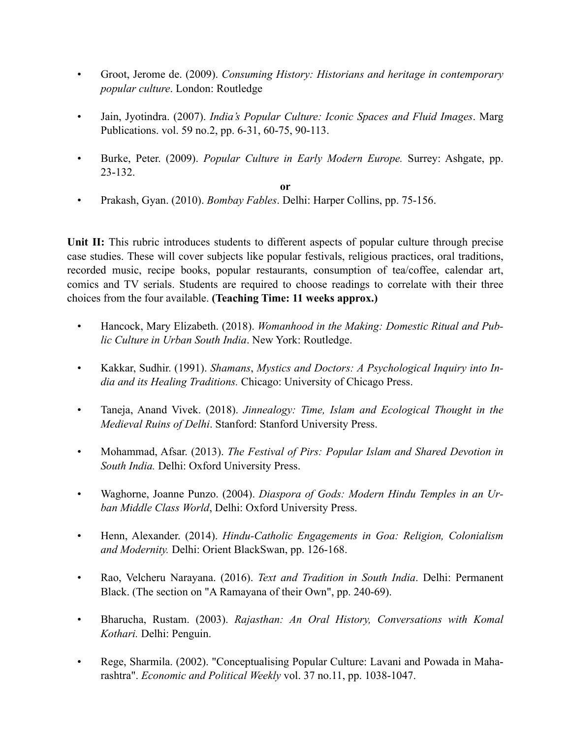- Groot, Jerome de. (2009). *Consuming History: Historians and heritage in contemporary popular culture*. London: Routledge
- Jain, Jyotindra. (2007). *India's Popular Culture: Iconic Spaces and Fluid Images*. Marg Publications. vol. 59 no.2, pp. 6-31, 60-75, 90-113.
- Burke, Peter. (2009). *Popular Culture in Early Modern Europe.* Surrey: Ashgate, pp. 23-132.

**or**

• Prakash, Gyan. (2010). *Bombay Fables*. Delhi: Harper Collins, pp. 75-156.

Unit II: This rubric introduces students to different aspects of popular culture through precise case studies. These will cover subjects like popular festivals, religious practices, oral traditions, recorded music, recipe books, popular restaurants, consumption of tea/coffee, calendar art, comics and TV serials. Students are required to choose readings to correlate with their three choices from the four available. **(Teaching Time: 11 weeks approx.)**

- Hancock, Mary Elizabeth. (2018). *Womanhood in the Making: Domestic Ritual and Public Culture in Urban South India*. New York: Routledge.
- Kakkar, Sudhir. (1991). *Shamans*, *Mystics and Doctors: A Psychological Inquiry into India and its Healing Traditions.* Chicago: University of Chicago Press.
- Taneja, Anand Vivek. (2018). *Jinnealogy: Time, Islam and Ecological Thought in the Medieval Ruins of Delhi*. Stanford: Stanford University Press.
- Mohammad, Afsar. (2013). *The Festival of Pirs: Popular Islam and Shared Devotion in South India.* Delhi: Oxford University Press.
- Waghorne, Joanne Punzo. (2004). *Diaspora of Gods: Modern Hindu Temples in an Urban Middle Class World*, Delhi: Oxford University Press.
- Henn, Alexander. (2014). *Hindu-Catholic Engagements in Goa: Religion, Colonialism and Modernity.* Delhi: Orient BlackSwan, pp. 126-168.
- Rao, Velcheru Narayana. (2016). *Text and Tradition in South India*. Delhi: Permanent Black. (The section on "A Ramayana of their Own", pp. 240-69).
- Bharucha, Rustam. (2003). *Rajasthan: An Oral History, Conversations with Komal Kothari.* Delhi: Penguin.
- Rege, Sharmila. (2002). "Conceptualising Popular Culture: Lavani and Powada in Maharashtra". *Economic and Political Weekly* vol. 37 no.11, pp. 1038-1047.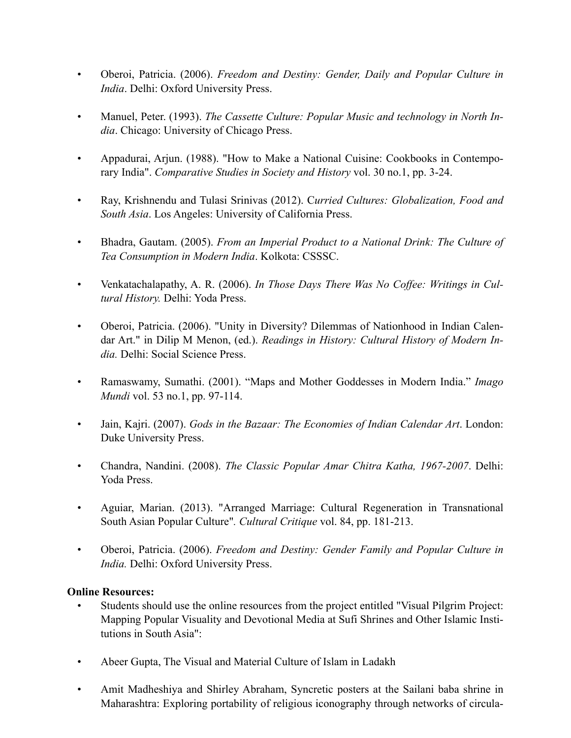- Oberoi, Patricia. (2006). *Freedom and Destiny: Gender, Daily and Popular Culture in India*. Delhi: Oxford University Press.
- Manuel, Peter. (1993). *The Cassette Culture: Popular Music and technology in North India*. Chicago: University of Chicago Press.
- Appadurai, Arjun. (1988). "How to Make a National Cuisine: Cookbooks in Contemporary India". *Comparative Studies in Society and History* vol. 30 no.1, pp. 3-24.
- Ray, Krishnendu and Tulasi Srinivas (2012). C*urried Cultures: Globalization, Food and South Asia*. Los Angeles: University of California Press.
- Bhadra, Gautam. (2005). *From an Imperial Product to a National Drink: The Culture of Tea Consumption in Modern India*. Kolkota: CSSSC.
- Venkatachalapathy, A. R. (2006). *In Those Days There Was No Coffee: Writings in Cultural History.* Delhi: Yoda Press.
- Oberoi, Patricia. (2006). "Unity in Diversity? Dilemmas of Nationhood in Indian Calendar Art." in Dilip M Menon, (ed.). *Readings in History: Cultural History of Modern India.* Delhi: Social Science Press.
- Ramaswamy, Sumathi. (2001). "Maps and Mother Goddesses in Modern India." *Imago Mundi* vol. 53 no.1, pp. 97-114.
- Jain, Kajri. (2007). *Gods in the Bazaar: The Economies of Indian Calendar Art*. London: Duke University Press.
- Chandra, Nandini. (2008). *The Classic Popular Amar Chitra Katha, 1967-2007*. Delhi: Yoda Press.
- Aguiar, Marian. (2013). "Arranged Marriage: Cultural Regeneration in Transnational South Asian Popular Culture"*. Cultural Critique* vol. 84, pp. 181-213.
- Oberoi, Patricia. (2006). *Freedom and Destiny: Gender Family and Popular Culture in India.* Delhi: Oxford University Press.

# **Online Resources:**

- Students should use the online resources from the project entitled "Visual Pilgrim Project: Mapping Popular Visuality and Devotional Media at Sufi Shrines and Other Islamic Institutions in South Asia":
- Abeer Gupta, The Visual and Material Culture of Islam in Ladakh
- Amit Madheshiya and Shirley Abraham, Syncretic posters at the Sailani baba shrine in Maharashtra: Exploring portability of religious iconography through networks of circula-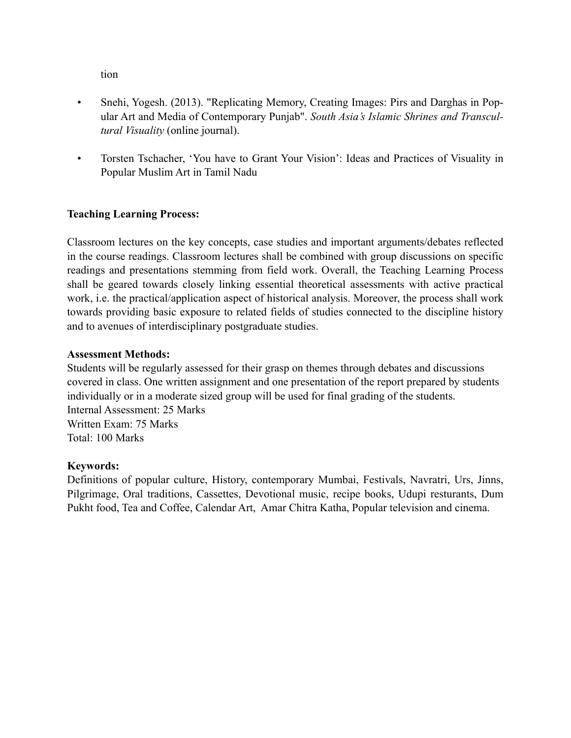tion

- Snehi, Yogesh. (2013). "Replicating Memory, Creating Images: Pirs and Darghas in Popular Art and Media of Contemporary Punjab". *South Asia's Islamic Shrines and Transcultural Visuality* (online journal).
- Torsten Tschacher, 'You have to Grant Your Vision': Ideas and Practices of Visuality in Popular Muslim Art in Tamil Nadu

# **Teaching Learning Process:**

Classroom lectures on the key concepts, case studies and important arguments/debates reflected in the course readings. Classroom lectures shall be combined with group discussions on specific readings and presentations stemming from field work. Overall, the Teaching Learning Process shall be geared towards closely linking essential theoretical assessments with active practical work, i.e. the practical/application aspect of historical analysis. Moreover, the process shall work towards providing basic exposure to related fields of studies connected to the discipline history and to avenues of interdisciplinary postgraduate studies.

#### **Assessment Methods:**

Students will be regularly assessed for their grasp on themes through debates and discussions covered in class. One written assignment and one presentation of the report prepared by students individually or in a moderate sized group will be used for final grading of the students. Internal Assessment: 25 Marks Written Exam: 75 Marks Total: 100 Marks

# **Keywords:**

Definitions of popular culture, History, contemporary Mumbai, Festivals, Navratri, Urs, Jinns, Pilgrimage, Oral traditions, Cassettes, Devotional music, recipe books, Udupi resturants, Dum Pukht food, Tea and Coffee, Calendar Art, Amar Chitra Katha, Popular television and cinema.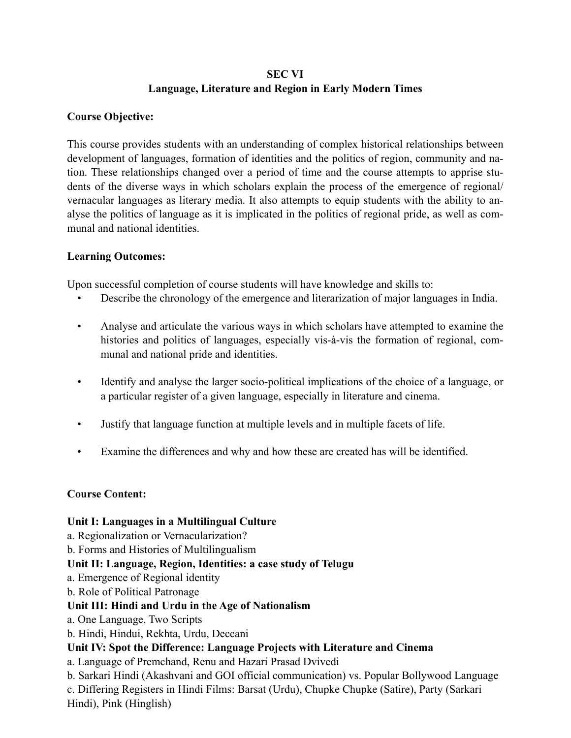# **SEC VI Language, Literature and Region in Early Modern Times**

# **Course Objective:**

This course provides students with an understanding of complex historical relationships between development of languages, formation of identities and the politics of region, community and nation. These relationships changed over a period of time and the course attempts to apprise students of the diverse ways in which scholars explain the process of the emergence of regional/ vernacular languages as literary media. It also attempts to equip students with the ability to analyse the politics of language as it is implicated in the politics of regional pride, as well as communal and national identities.

# **Learning Outcomes:**

Upon successful completion of course students will have knowledge and skills to:

- Describe the chronology of the emergence and literarization of major languages in India.
- Analyse and articulate the various ways in which scholars have attempted to examine the histories and politics of languages, especially vis-à-vis the formation of regional, communal and national pride and identities.
- Identify and analyse the larger socio-political implications of the choice of a language, or a particular register of a given language, especially in literature and cinema.
- Justify that language function at multiple levels and in multiple facets of life.
- Examine the differences and why and how these are created has will be identified.

# **Course Content:**

# **Unit I: Languages in a Multilingual Culture**

a. Regionalization or Vernacularization?

b. Forms and Histories of Multilingualism

**Unit II: Language, Region, Identities: a case study of Telugu**

- a. Emergence of Regional identity
- b. Role of Political Patronage

# **Unit III: Hindi and Urdu in the Age of Nationalism**

- a. One Language, Two Scripts
- b. Hindi, Hindui, Rekhta, Urdu, Deccani

# **Unit IV: Spot the Difference: Language Projects with Literature and Cinema**

a. Language of Premchand, Renu and Hazari Prasad Dvivedi

b. Sarkari Hindi (Akashvani and GOI official communication) vs. Popular Bollywood Language c. Differing Registers in Hindi Films: Barsat (Urdu), Chupke Chupke (Satire), Party (Sarkari Hindi), Pink (Hinglish)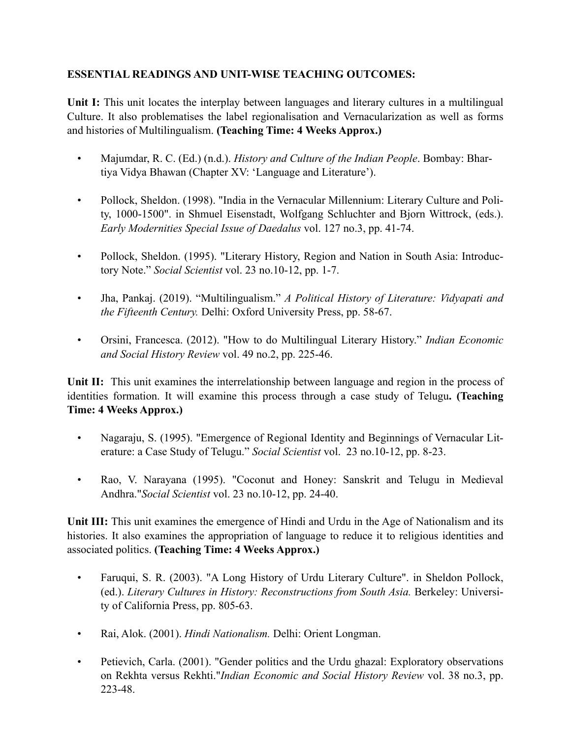# **ESSENTIAL READINGS AND UNIT-WISE TEACHING OUTCOMES:**

Unit I: This unit locates the interplay between languages and literary cultures in a multilingual Culture. It also problematises the label regionalisation and Vernacularization as well as forms and histories of Multilingualism. **(Teaching Time: 4 Weeks Approx.)**

- Majumdar, R. C. (Ed.) (n.d.). *History and Culture of the Indian People*. Bombay: Bhartiya Vidya Bhawan (Chapter XV: 'Language and Literature').
- Pollock, Sheldon. (1998). "India in the Vernacular Millennium: Literary Culture and Polity, 1000-1500". in Shmuel Eisenstadt, Wolfgang Schluchter and Bjorn Wittrock, (eds.). *Early Modernities Special Issue of Daedalus* vol. 127 no.3, pp. 41-74.
- Pollock, Sheldon. (1995). "Literary History, Region and Nation in South Asia: Introductory Note." *Social Scientist* vol. 23 no.10-12, pp. 1-7.
- Jha, Pankaj. (2019). "Multilingualism." *A Political History of Literature: Vidyapati and the Fifteenth Century.* Delhi: Oxford University Press, pp. 58-67.
- Orsini, Francesca. (2012). "How to do Multilingual Literary History." *Indian Economic and Social History Review* vol. 49 no.2, pp. 225-46.

**Unit II:** This unit examines the interrelationship between language and region in the process of identities formation. It will examine this process through a case study of Telugu**. (Teaching Time: 4 Weeks Approx.)**

- Nagaraju, S. (1995). "Emergence of Regional Identity and Beginnings of Vernacular Literature: a Case Study of Telugu." *Social Scientist* vol. 23 no.10-12, pp. 8-23.
- Rao, V. Narayana (1995). "Coconut and Honey: Sanskrit and Telugu in Medieval Andhra."*Social Scientist* vol. 23 no.10-12, pp. 24-40.

**Unit III:** This unit examines the emergence of Hindi and Urdu in the Age of Nationalism and its histories. It also examines the appropriation of language to reduce it to religious identities and associated politics. **(Teaching Time: 4 Weeks Approx.)**

- Faruqui, S. R. (2003). "A Long History of Urdu Literary Culture". in Sheldon Pollock, (ed.). *Literary Cultures in History: Reconstructions from South Asia.* Berkeley: University of California Press, pp. 805-63.
- Rai, Alok. (2001). *Hindi Nationalism.* Delhi: Orient Longman.
- Petievich, Carla. (2001). "Gender politics and the Urdu ghazal: Exploratory observations on Rekhta versus Rekhti."*Indian Economic and Social History Review* vol. 38 no.3, pp. 223-48.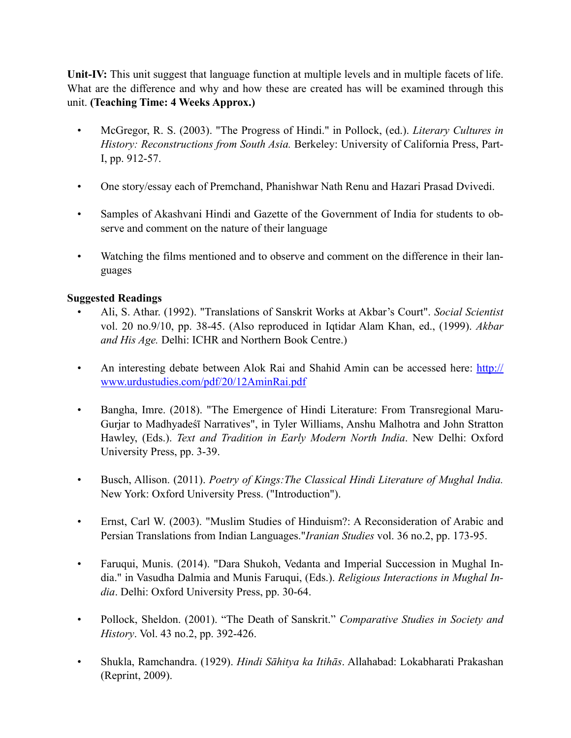**Unit-IV:** This unit suggest that language function at multiple levels and in multiple facets of life. What are the difference and why and how these are created has will be examined through this unit. **(Teaching Time: 4 Weeks Approx.)**

- McGregor, R. S. (2003). "The Progress of Hindi." in Pollock, (ed.). *Literary Cultures in History: Reconstructions from South Asia.* Berkeley: University of California Press, Part-I, pp. 912-57.
- One story/essay each of Premchand, Phanishwar Nath Renu and Hazari Prasad Dvivedi.
- Samples of Akashvani Hindi and Gazette of the Government of India for students to observe and comment on the nature of their language
- Watching the films mentioned and to observe and comment on the difference in their languages

# **Suggested Readings**

- Ali, S. Athar. (1992). "Translations of Sanskrit Works at Akbar's Court". *Social Scientist* vol. 20 no.9/10, pp. 38-45. (Also reproduced in Iqtidar Alam Khan, ed., (1999). *Akbar and His Age.* Delhi: ICHR and Northern Book Centre.)
- An interesting debate between Alok Rai and Shahid Amin can be accessed here: [http://](http://www.urdustudies.com/pdf/20/12AminRai.pdf) [www.urdustudies.com/pdf/20/12AminRai.pdf](http://www.urdustudies.com/pdf/20/12AminRai.pdf)
- Bangha, Imre. (2018). "The Emergence of Hindi Literature: From Transregional Maru-Gurjar to Madhyadeśī Narratives", in Tyler Williams, Anshu Malhotra and John Stratton Hawley, (Eds.). *Text and Tradition in Early Modern North India*. New Delhi: Oxford University Press, pp. 3-39.
- Busch, Allison. (2011). *Poetry of Kings:The Classical Hindi Literature of Mughal India.* New York: Oxford University Press. ("Introduction").
- Ernst, Carl W. (2003). "Muslim Studies of Hinduism?: A Reconsideration of Arabic and Persian Translations from Indian Languages."*Iranian Studies* vol. 36 no.2, pp. 173-95.
- Faruqui, Munis. (2014). "Dara Shukoh, Vedanta and Imperial Succession in Mughal India." in Vasudha Dalmia and Munis Faruqui, (Eds.). *Religious Interactions in Mughal India*. Delhi: Oxford University Press, pp. 30-64.
- Pollock, Sheldon. (2001). "The Death of Sanskrit." *Comparative Studies in Society and History*. Vol. 43 no.2, pp. 392-426.
- Shukla, Ramchandra. (1929). *Hindi Sāhitya ka Itihās*. Allahabad: Lokabharati Prakashan (Reprint, 2009).